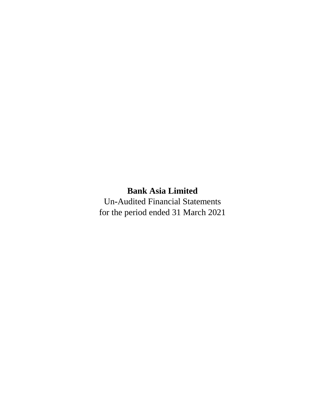# **Bank Asia Limited**

Un**-**Audited Financial Statements for the period ended 31 March 2021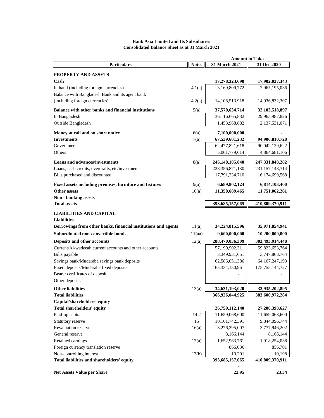#### **Notes 31 March 2021 31 Dec 2020 Bank Asia Limited and Its Subsidiaries Consolidated Balance Sheet as at 31 March 2021 Amount in Taka Particulars**

| <b>Particulars</b>                                                     | <b>Notes</b> | 31 March 2021                   | 31 Dec 2020        |
|------------------------------------------------------------------------|--------------|---------------------------------|--------------------|
| <b>PROPERTY AND ASSETS</b>                                             |              |                                 |                    |
| Cash                                                                   |              | 17,278,323,690                  | 17,902,027,343     |
| In hand (including foreign currencies)                                 | 4.1(a)       | 3,169,809,772                   | 2,965,195,036      |
| Balance with Bangladesh Bank and its agent bank                        |              |                                 |                    |
| (including foreign currencies)                                         | 4.2(a)       | 14,108,513,918                  | 14,936,832,307     |
| Balance with other banks and financial institutions                    | 5(a)         | 37,570,634,714                  | 32,103,518,897     |
| In Bangladesh                                                          |              | 36,116,665,832                  | 29,965,987,826     |
| Outside Bangladesh                                                     |              | 1,453,968,882                   | 2,137,531,071      |
|                                                                        |              |                                 |                    |
| Money at call and on short notice<br><b>Investments</b>                | 6(a)<br>7(a) | 7,100,000,000<br>67,539,601,232 | 94,906,810,728     |
| Government                                                             |              | 62,477,821,618                  | 90,042,129,622     |
| Others                                                                 |              | 5,061,779,614                   | 4,864,681,106      |
|                                                                        |              |                                 |                    |
| <b>Loans and advances/investments</b>                                  | 8(a)         | 246,148,105,840                 | 247, 331, 848, 282 |
| Loans, cash credits, overdrafts, etc/investments                       |              | 228, 356, 871, 130              | 231, 157, 148, 714 |
| Bills purchased and discounted                                         |              | 17,791,234,710                  | 16,174,699,568     |
| Fixed assets including premises, furniture and fixtures                | 9(a)         | 6,689,802,124                   | 6,814,103,400      |
| <b>Other assets</b>                                                    | 10(a)        | 11,358,689,465                  | 11,751,062,261     |
| Non - banking assets                                                   |              |                                 |                    |
| <b>Total assets</b>                                                    |              | 393,685,157,065                 | 410,809,370,911    |
| <b>LIABILITIES AND CAPITAL</b>                                         |              |                                 |                    |
| <b>Liabilities</b>                                                     |              |                                 |                    |
| Borrowings from other banks, financial institutions and agents         | 11(a)        | 34,224,815,596                  | 35,971,854,941     |
| Subordinated non-convertible bonds                                     | 11(aa)       | 9,600,000,000                   | 10,200,000,000     |
| Deposits and other accounts                                            | 12(a)        | 288,470,036,309                 | 303,493,914,448    |
| Current/Al-wadeeah current accounts and other accounts                 |              | 57,199,902,311                  | 59,823,653,764     |
| Bills payable                                                          |              | 3,349,931,651                   | 3,747,868,764      |
| Savings bank/Mudaraba savings bank deposits                            |              | 62,586,051,386                  | 64, 167, 247, 193  |
| Fixed deposits/Mudaraba fixed deposits                                 |              | 165, 334, 150, 961              | 175, 755, 144, 727 |
| Bearer certificates of deposit                                         |              |                                 |                    |
| Other deposits                                                         |              |                                 |                    |
| <b>Other liabilities</b>                                               | 13(a)        | 34,631,193,020                  | 33,935,202,895     |
| <b>Total liabilities</b>                                               |              | 366,926,044,925                 | 383,600,972,284    |
| Capital/shareholders' equity                                           |              |                                 |                    |
| Total shareholders' equity                                             |              | 26,759,112,140                  | 27,208,398,627     |
| Paid-up capital                                                        | 14.2         | 11,659,068,600                  | 11,659,068,600     |
| Statutory reserve                                                      | 15           | 10,161,742,391                  | 9,844,096,744      |
| Revaluation reserve                                                    | 16(a)        | 3,276,295,007                   | 3,777,946,202      |
| General reserve                                                        |              | 8,166,144                       | 8,166,144          |
| Retained earnings                                                      | 17(a)        | 1,652,963,761                   | 1,918,254,038      |
| Foreign currency translation reserve                                   |              | 866,036                         | 856,701            |
| Non-controlling interest<br>Total liabilities and shareholders' equity | 17(b)        | 10,201                          | 10,198             |
|                                                                        |              | 393,685,157,065                 | 410,809,370,911    |
| <b>Net Assets Value per Share</b>                                      |              | 22.95                           | 23.34              |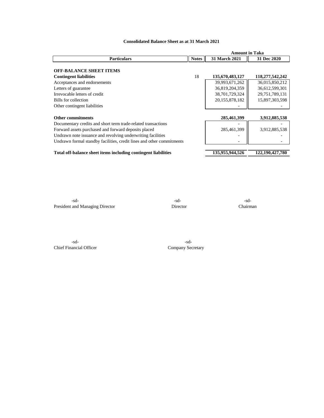|                                                                       |              | <b>Amount in Taka</b> |                    |
|-----------------------------------------------------------------------|--------------|-----------------------|--------------------|
| <b>Particulars</b>                                                    | <b>Notes</b> | <b>31 March 2021</b>  | 31 Dec 2020        |
| <b>OFF-BALANCE SHEET ITEMS</b>                                        |              |                       |                    |
| <b>Contingent liabilities</b>                                         | 18           | 135,670,483,127       | 118,277,542,242    |
| Acceptances and endorsements                                          |              | 39,993,671,262        | 36,015,850,212     |
| Letters of guarantee                                                  |              | 36,819,204,359        | 36,612,599,301     |
| Irrevocable letters of credit                                         |              | 38,701,729,324        | 29,751,789,131     |
| Bills for collection                                                  |              | 20,155,878,182        | 15,897,303,598     |
| Other contingent liabilities                                          |              |                       |                    |
|                                                                       |              |                       |                    |
| <b>Other commitments</b>                                              |              | 285,461,399           | 3,912,885,538      |
| Documentary credits and short term trade-related transactions         |              |                       |                    |
| Forward assets purchased and forward deposits placed                  |              | 285,461,399           | 3,912,885,538      |
| Undrawn note issuance and revolving underwriting facilities           |              |                       |                    |
| Undrawn formal standby facilities, credit lines and other commitments |              |                       |                    |
|                                                                       |              |                       |                    |
| Total off-balance sheet items including contingent liabilities        |              | 135,955,944,526       | 122, 190, 427, 780 |

#### **Consolidated Balance Sheet as at 31 March 2021**

-sd- -sd- -sd-President and Managing Director Director Director Chairman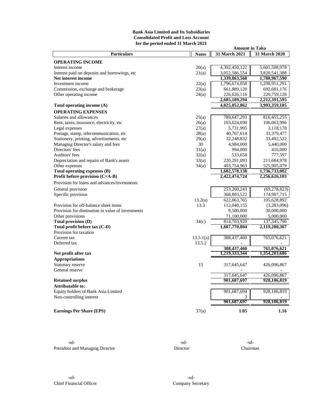#### **Bank Asia Limited and Its Subsidiaries Consolidated Profit and Loss Account for the period ended 31 March 2021**

|                                                                 |              | <b>Amount in Taka</b> |                |
|-----------------------------------------------------------------|--------------|-----------------------|----------------|
| <b>Particulars</b>                                              | <b>Notes</b> | 31 March 2021         | 31 March 2020  |
| <b>OPERATING INCOME</b>                                         |              |                       |                |
| Interest income                                                 | 20(a)        | 4,392,450,122         | 5,601,508,978  |
| Interest paid on deposits and borrowings, etc                   | 21(a)        | 3,052,586,554         | 3,820,541,388  |
| Net interest income                                             |              | 1,339,863,568         | 1,780,967,590  |
| Investment income                                               | 22(a)        | 1,796,674,058         | 1,298,951,291  |
| Commission, exchange and brokerage                              | 23(a)        | 661,889,120           | 692, 681, 176  |
| Other operating income                                          | 24(a)        | 226,626,116           | 220,759,128    |
|                                                                 |              | 2,685,189,294         | 2,212,391,595  |
| Total operating income (A)                                      |              | 4,025,052,862         | 3,993,359,185  |
| <b>OPERATING EXPENSES</b>                                       |              |                       |                |
|                                                                 |              |                       |                |
| Salaries and allowances                                         | 25(a)        | 789,647,293           | 816, 455, 255  |
| Rent, taxes, insurance, electricity, etc.                       | 26(a)        | 103,624,690           | 106,063,996    |
| Legal expenses                                                  | 27(a)        | 5,731,995             | 3,118,178      |
| Postage, stamp, telecommunication, etc                          | 28(a)        | 40,767,614            | 33,379,477     |
| Stationery, printing, advertisements, etc                       | 29(a)        | 32,248,832            | 33,492,522     |
| Managing Director's salary and fees                             | 30           | 4,984,000             | 5,440,000      |
| Directors' fees                                                 | 31(a)        | 994,000               | 416,000        |
| Auditors' fees                                                  | 32(a)        | 533,658               | 777,597        |
| Depreciation and repairs of Bank's assets                       | 33(a)        | 220,291,093           | 211,684,978    |
| Other expenses                                                  | 34(a)        | 403,754,963           | 525,905,079    |
| Total operating expenses (B)                                    |              | 1,602,578,138         | 1,736,733,082  |
| Profit before provision (C=A-B)                                 |              | 2,422,474,724         | 2,256,626,103  |
| Provision for loans and advances/investments                    |              |                       |                |
| General provision                                               |              | 253,260,243           | (69, 278, 823) |
| Specific provision                                              |              | 368,803,522           | 174,907,715    |
|                                                                 | 13.2(a)      | 622,063,765           | 105,628,892    |
| Provision for off-balance sheet items                           | 13.3         | 112,040,155           | (3,283,096)    |
| Provision for diminution in value of investments                |              | 9,500,000             | 30,000,000     |
| Other provisions                                                |              | 71,100,000            | 5,000,000      |
| Total provision (D)                                             | 34(c)        | 814,703,920           | 137, 345, 796  |
| Total profit before tax (C-D)                                   |              | 1,607,770,804         | 2,119,280,307  |
| Provision for taxation                                          |              |                       |                |
| Current tax                                                     | 13.5.1(a)    | 388,437,460           | 765,076,621    |
| Deferred tax                                                    | 13.5.2       |                       |                |
|                                                                 |              | 388,437,460           | 765,076,621    |
| Net profit after tax                                            |              | 1,219,333,344         | 1,354,203,686  |
| <b>Appropriations</b>                                           |              |                       |                |
| Statutory reserve                                               | 15           | 317,645,647           | 426,096,867    |
| General reserve                                                 |              |                       |                |
|                                                                 |              | 317,645,647           | 426,096,867    |
| <b>Retained surplus</b>                                         |              | 901,687,697           | 928,106,819    |
| Attributable to:                                                |              |                       |                |
|                                                                 |              |                       |                |
| Equity holders of Bank Asia Limited<br>Non-controlling interest |              | 901,687,694           | 928,106,819    |
|                                                                 |              | 901,687,697           | 928,106,819    |
|                                                                 |              |                       |                |
| <b>Earnings Per Share (EPS)</b>                                 | 37(a)        | 1.05                  | 1.16           |
|                                                                 |              |                       |                |

 $-sd-$ President and Managing Director Director Director Chairman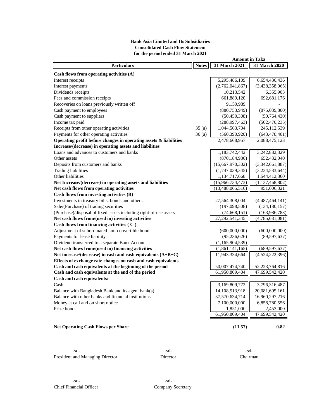### **Bank Asia Limited and Its Subsidiaries Consolidated Cash Flow Statement for the period ended 31 March 2021**

| <b>Particulars</b>                                                | <b>Notes</b> | 31 March 2021     | 31 March 2020      |
|-------------------------------------------------------------------|--------------|-------------------|--------------------|
| Cash flows from operating activities (A)                          |              |                   |                    |
| Interest receipts                                                 |              | 5,295,486,109     | 6,654,436,436      |
| Interest payments                                                 |              | (2,762,041,867)   | (3,438,358,065)    |
| Dividends receipts                                                |              | 10,213,542        | 6,355,903          |
| Fees and commission receipts                                      |              | 661,889,120       | 692, 681, 176      |
| Recoveries on loans previously written off                        |              | 9,150,989         |                    |
| Cash payment to employees                                         |              | (880, 753, 949)   | (875,039,800)      |
| Cash payment to suppliers                                         |              | (50, 450, 308)    | (50, 764, 430)     |
| Income tax paid                                                   |              | (288, 997, 463)   | (502, 470, 235)    |
| Receipts from other operating activities                          | 35(a)        | 1,044,563,704     | 245,112,539        |
| Payments for other operating activities                           | 36(a)        | (560, 390, 920)   | (643, 478, 401)    |
| Operating profit before changes in operating assets & liabilities |              | 2,478,668,957     | 2,088,475,123      |
| Increase/(decrease) in operating assets and liabilities           |              |                   |                    |
| Loans and advances to customers and banks                         |              | 1,183,742,442     | 3,242,882,329      |
| Other assets                                                      |              | (870, 184, 936)   | 652,432,040        |
| Deposits from customers and banks                                 |              | (15,667,970,302)  | (3,342,661,887)    |
| <b>Trading liabilities</b>                                        |              | (1,747,039,345)   | (3,234,533,644)    |
| Other liabilities                                                 |              | 1,134,717,668     | 1,544,412,360      |
| Net Increase/(decrease) in operating assets and liabilities       |              | (15,966,734,473)  | (1, 137, 468, 802) |
| Net cash flows from operating activities                          |              | (13,488,065,516)  | 951,006,321        |
| Cash flows from investing activities (B)                          |              |                   |                    |
| Investments in treasury bills, bonds and others                   |              | 27,564,308,004    | (4,487,464,141)    |
| Sale/(Purchase) of trading securities                             |              | (197,098,508)     | (134, 180, 157)    |
| (Purchase)/disposal of fixed assets including right-of-use assets |              | (74, 668, 151)    | (163, 986, 783)    |
| Net cash flows from/(used in) investing activities                |              | 27, 292, 541, 345 | (4,785,631,081)    |
| Cash flows from financing activities (C)                          |              |                   |                    |
| Adjustment of subordinated non-convertible bond                   |              | (600,000,000)     | (600,000,000)      |
| Payments for lease liability                                      |              | (95, 236, 626)    | (89, 597, 637)     |
| Dividend transferred to a separate Bank Account                   |              | (1,165,904,539)   |                    |
| Net cash flows from/(used in) financing activities                |              | (1,861,141,165)   | (689, 597, 637)    |
| Net increase/(decrease) in cash and cash equivalents $(A+B+C)$    |              | 11,943,334,664    | (4,524,222,396)    |
| Effects of exchange rate changes on cash and cash equivalents     |              |                   |                    |
| Cash and cash equivalents at the beginning of the period          |              | 50,007,474,740    | 52,223,764,816     |
| Cash and cash equivalents at the end of the period                |              | 61,950,809,404    | 47,699,542,420     |
| Cash and cash equivalents:                                        |              |                   |                    |
| Cash                                                              |              | 3,169,809,772     | 3,796,316,487      |
| Balance with Bangladesh Bank and its agent bank(s)                |              | 14,108,513,918    | 20,081,695,161     |
| Balance with other banks and financial institutions               |              | 37,570,634,714    | 16,960,297,216     |
| Money at call and on short notice                                 |              | 7,100,000,000     | 6,858,780,556      |
| Prize bonds                                                       |              | 1,851,000         | 2,453,000          |
|                                                                   |              | 61,950,809,404    | 47,699,542,420     |
|                                                                   |              |                   |                    |
| <b>Net Operating Cash Flows per Share</b>                         |              | (11.57)           | 0.82               |

 $-sd-$ President and Managing Director **Director** Director **Chairman** 

**Amount in Taka**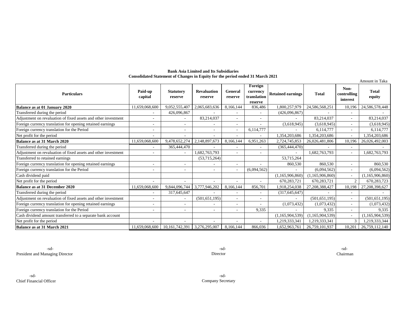#### **Bank Asia Limited and Its Subsidiaries Consolidated Statement of Changes in Equity for the period ended 31 March 2021**

|                                                                |                    |                             |                               |                          |                                               |                          |                    |                                 | Amount in Taka         |
|----------------------------------------------------------------|--------------------|-----------------------------|-------------------------------|--------------------------|-----------------------------------------------|--------------------------|--------------------|---------------------------------|------------------------|
| <b>Particulars</b>                                             | Paid-up<br>capital | <b>Statutory</b><br>reserve | <b>Revaluation</b><br>reserve | General<br>reserve       | Foreign<br>currency<br>translation<br>reserve | <b>Retained earnings</b> | <b>Total</b>       | Non-<br>controlling<br>interest | <b>Total</b><br>equity |
| Balance as at 01 January 2020                                  | 11,659,068,600     | 9,052,555,407               | 2.065.683.636                 | 8.166.144                | 836,486                                       | 1.800.257.979            | 24,586,568,251     | 10,196                          | 24,586,578,448         |
| Transferred during the period                                  |                    | 426,096,867                 |                               |                          |                                               | (426,096,867)            |                    |                                 |                        |
| Adjustment on revaluation of fixed assets and other investment |                    |                             | 83,214,037                    | ۰                        |                                               |                          | 83,214,037         |                                 | 83,214,037             |
| Foreign currency translation for opening retained earnings     |                    |                             |                               | $\overline{\phantom{a}}$ |                                               | (3,618,945)              | (3,618,945)        |                                 | (3,618,945)            |
| Foreign currency translation for the Period                    |                    |                             |                               | $\overline{\phantom{a}}$ | 6,114,777                                     |                          | 6,114,777          |                                 | 6,114,777              |
| Net profit for the period                                      |                    |                             | $\overline{\phantom{a}}$      | $\overline{\phantom{a}}$ |                                               | 1,354,203,686            | 1.354.203.686      | ٠                               | 1,354,203,686          |
| Balance as at 31 March 2020                                    | 11,659,068,600     | 9,478,652,274               | 2,148,897,673                 | 8,166,144                | 6,951,263                                     | 2,724,745,853            | 26,026,481,806     | 10,196                          | 26,026,492,003         |
| Transferred during the period                                  |                    | 365,444,470                 |                               | $\overline{a}$           |                                               | (365, 444, 470)          |                    |                                 |                        |
| Adjustment on revaluation of fixed assets and other investment |                    |                             | 1,682,763,793                 | ٠                        |                                               |                          | 1,682,763,793      | $\overline{\phantom{a}}$        | 1,682,763,793          |
| Transferred to retained earnings                               |                    |                             | (53,715,264)                  |                          |                                               | 53,715,264               |                    |                                 |                        |
| Foreign currency translation for opening retained earnings     |                    |                             |                               | $\overline{\phantom{a}}$ |                                               | 860,530                  | 860,530            | ٠                               | 860,530                |
| Foreign currency translation for the Period                    |                    |                             | ٠                             | $\sim$                   | (6,094,562)                                   |                          | (6,094,562)        | $\overline{\phantom{0}}$        | (6,094,562)            |
| Cash dividend paid                                             |                    |                             |                               |                          |                                               | (1, 165, 906, 860)       | (1, 165, 906, 860) | $\overline{\phantom{0}}$        | (1,165,906,860)        |
| Net profit for the period                                      |                    |                             |                               |                          |                                               | 670,283,721              | 670,283,721        | $\overline{2}$                  | 670,283,723            |
| <b>Balance as at 31 December 2020</b>                          | 11,659,068,600     | 9,844,096,744               | 3,777,946,202                 | 8,166,144                | 856,701                                       | 1,918,254,038            | 27, 208, 388, 427  | 10,198                          | 27,208,398,627         |
| Transferred during the period                                  |                    | 317,645,647                 |                               | ٠                        |                                               | (317, 645, 647)          |                    |                                 |                        |
| Adjustment on revaluation of fixed assets and other investment |                    |                             | (501, 651, 195)               | $\overline{\phantom{0}}$ |                                               |                          | (501, 651, 195)    | ٠                               | (501, 651, 195)        |
| Foreign currency translation for opening retained earnings     |                    |                             |                               | $\overline{\phantom{a}}$ |                                               | (1,073,432)              | (1,073,432)        | $\overline{\phantom{0}}$        | (1,073,432)            |
| Foreign currency translation for the Period                    |                    | ۰                           | ٠                             | ۰                        | 9,335                                         |                          | 9,335              | $\overline{\phantom{0}}$        | 9,335                  |
| Cash dividend amount transferred to a separate bank account    |                    |                             |                               |                          |                                               | (1,165,904,539)          | (1, 165, 904, 539) |                                 | (1,165,904,539)        |
| Net profit for the period                                      |                    |                             |                               |                          |                                               | 1,219,333,341            | 1,219,333,341      | $\mathcal{R}$                   | 1,219,333,344          |
| Balance as at 31 March 2021                                    | 11.659.068.600     | 10, 161, 742, 391           | 3,276,295,007                 | 8,166,144                | 866,036                                       | 1,652,963,761            | 26,759,101,937     | 10,201                          | 26,759,112,140         |

Director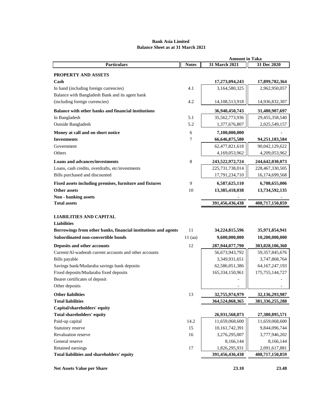# **Bank Asia Limited Balance Sheet as at 31 March 2021**

|                                                                | <b>Amount in Taka</b> |                 |                    |  |
|----------------------------------------------------------------|-----------------------|-----------------|--------------------|--|
| <b>Particulars</b>                                             | <b>Notes</b>          | 31 March 2021   | 31 Dec 2020        |  |
| PROPERTY AND ASSETS                                            |                       |                 |                    |  |
| $\mathbf C$ ash                                                |                       | 17,273,094,243  | 17,899,782,364     |  |
| In hand (including foreign currencies)                         | 4.1                   | 3,164,580,325   | 2,962,950,057      |  |
| Balance with Bangladesh Bank and its agent bank                |                       |                 |                    |  |
| (including foreign currencies)                                 | 4.2                   | 14,108,513,918  | 14,936,832,307     |  |
|                                                                |                       |                 |                    |  |
| Balance with other banks and financial institutions            |                       | 36,940,450,743  | 31,480,907,697     |  |
| In Bangladesh                                                  | 5.1                   | 35,562,773,936  | 29,455,358,540     |  |
| Outside Bangladesh                                             | 5.2                   | 1,377,676,807   | 2,025,549,157      |  |
| Money at call and on short notice                              | 6                     | 7,100,000,000   |                    |  |
| <b>Investments</b>                                             | 7                     | 66,646,875,580  | 94,251,183,584     |  |
| Government                                                     |                       | 62,477,821,618  | 90,042,129,622     |  |
| Others                                                         |                       | 4,169,053,962   | 4,209,053,962      |  |
| <b>Loans and advances/investments</b>                          | 8                     | 243,522,972,724 | 244,642,030,073    |  |
| Loans, cash credits, overdrafts, etc/investments               |                       | 225,731,738,014 | 228, 467, 330, 505 |  |
| Bills purchased and discounted                                 |                       | 17,791,234,710  | 16,174,699,568     |  |
| Fixed assets including premises, furniture and fixtures        | 9                     | 6,587,625,110   | 6,708,655,006      |  |
| <b>Other assets</b>                                            | 10                    | 13,385,418,038  | 13,734,592,135     |  |
| <b>Non</b> - banking assets                                    |                       |                 |                    |  |
| <b>Total assets</b>                                            |                       | 391,456,436,438 | 408,717,150,859    |  |
|                                                                |                       |                 |                    |  |
| <b>LIABILITIES AND CAPITAL</b>                                 |                       |                 |                    |  |
| <b>Liabilities</b>                                             |                       |                 |                    |  |
| Borrowings from other banks, financial institutions and agents | 11                    | 34,224,815,596  | 35,971,854,941     |  |
| Subordinated non-convertible bonds                             | $11$ (aa)             | 9,600,000,000   | 10,200,000,000     |  |
| Deposits and other accounts                                    | 12                    | 287,944,077,790 | 303,028,106,360    |  |
| Current/Al-wadeeah current accounts and other accounts         |                       | 56,673,943,792  | 59, 357, 845, 676  |  |
| Bills payable                                                  |                       | 3,349,931,651   | 3,747,868,764      |  |
| Savings bank/Mudaraba savings bank deposits                    |                       | 62,586,051,386  | 64, 167, 247, 193  |  |
| Fixed deposits/Mudaraba fixed deposits                         |                       | 165,334,150,961 | 175, 755, 144, 727 |  |
| Bearer certificates of deposit                                 |                       |                 |                    |  |
| Other deposits                                                 |                       |                 |                    |  |
| <b>Other liabilities</b>                                       | 13                    | 32,755,974,979  | 32,136,293,987     |  |
| <b>Total liabilities</b>                                       |                       | 364,524,868,365 | 381, 336, 255, 288 |  |
| Capital/shareholders' equity                                   |                       |                 |                    |  |
| Total shareholders' equity                                     |                       | 26,931,568,073  | 27,380,895,571     |  |
| Paid-up capital                                                | 14.2                  | 11,659,068,600  | 11,659,068,600     |  |
| Statutory reserve                                              | 15                    | 10,161,742,391  | 9,844,096,744      |  |
| Revaluation reserve                                            | 16                    | 3,276,295,007   | 3,777,946,202      |  |
| General reserve                                                |                       | 8,166,144       | 8,166,144          |  |
| Retained earnings                                              | 17                    | 1,826,295,931   | 2,091,617,881      |  |
| Total liabilities and shareholders' equity                     |                       | 391,456,436,438 | 408,717,150,859    |  |
|                                                                |                       |                 |                    |  |
| <b>Net Assets Value per Share</b>                              |                       | 23.10           | 23.48              |  |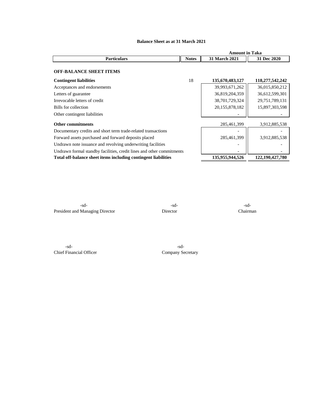|                                                                       |              | <b>Amount in Taka</b> |                 |
|-----------------------------------------------------------------------|--------------|-----------------------|-----------------|
| <b>Particulars</b>                                                    | <b>Notes</b> | <b>31 March 2021</b>  | 31 Dec 2020     |
| <b>OFF-BALANCE SHEET ITEMS</b>                                        |              |                       |                 |
| <b>Contingent liabilities</b>                                         | 18           | 135,670,483,127       | 118,277,542,242 |
| Acceptances and endorsements                                          |              | 39,993,671,262        | 36,015,850,212  |
| Letters of guarantee                                                  |              | 36,819,204,359        | 36,612,599,301  |
| Irrevocable letters of credit                                         |              | 38,701,729,324        | 29,751,789,131  |
| Bills for collection                                                  |              | 20,155,878,182        | 15,897,303,598  |
| Other contingent liabilities                                          |              |                       |                 |
| <b>Other commitments</b>                                              |              | 285,461,399           | 3,912,885,538   |
| Documentary credits and short term trade-related transactions         |              |                       |                 |
| Forward assets purchased and forward deposits placed                  |              | 285,461,399           | 3,912,885,538   |
| Undrawn note issuance and revolving underwriting facilities           |              |                       |                 |
| Undrawn formal standby facilities, credit lines and other commitments |              |                       |                 |
| Total off-balance sheet items including contingent liabilities        |              | 135,955,944,526       | 122,190,427,780 |

# **Balance Sheet as at 31 March 2021**

-sd- -sd- -sd-President and Managing Director Director Director Chairman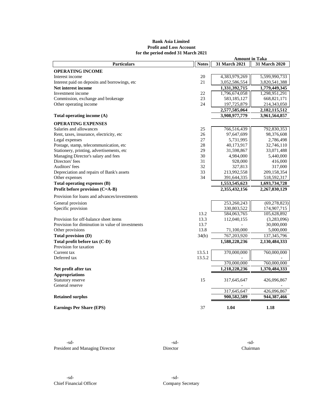### **Bank Asia Limited Profit and Loss Account for the period ended 31 March 2021**

|                                                  |              | <b>Amount in Taka</b> |                |
|--------------------------------------------------|--------------|-----------------------|----------------|
| <b>Particulars</b>                               | <b>Notes</b> | 31 March 2021         | 31 March 2020  |
| <b>OPERATING INCOME</b>                          |              |                       |                |
| Interest income                                  | 20           | 4,383,979,269         | 5,599,990,733  |
| Interest paid on deposits and borrowings, etc    | 21           | 3,052,586,554         | 3,820,541,388  |
| Net interest income                              |              | 1,331,392,715         | 1,779,449,345  |
| Investment income                                | 22           | 1,796,674,058         | 1,298,951,291  |
| Commission, exchange and brokerage               | 23           | 583,185,127           | 668, 821, 171  |
| Other operating income                           | 24           | 197,725,879           | 214,343,050    |
|                                                  |              | 2,577,585,064         | 2,182,115,512  |
| Total operating income (A)                       |              | 3,908,977,779         | 3,961,564,857  |
|                                                  |              |                       |                |
| <b>OPERATING EXPENSES</b>                        |              |                       |                |
| Salaries and allowances                          | 25           | 766,516,439           | 792,830,353    |
| Rent, taxes, insurance, electricity, etc         | 26           | 97,647,699            | 98,376,608     |
| Legal expenses                                   | 27           | 5,731,995             | 2,786,498      |
| Postage, stamp, telecommunication, etc           | 28           | 40,173,917            | 32,746,110     |
| Stationery, printing, advertisements, etc        | 29           | 31,598,867            | 33,071,488     |
| Managing Director's salary and fees              | 30           | 4,984,000             | 5,440,000      |
| Directors' fees                                  | 31           | 928,000               | 416,000        |
| Auditors' fees                                   | 32           | 327,813               | 317,000        |
| Depreciation and repairs of Bank's assets        | 33           | 213,992,558           | 209,158,354    |
| Other expenses                                   | 34           | 391,644,335           | 518,592,317    |
| Total operating expenses (B)                     |              | 1,553,545,623         | 1,693,734,728  |
| Profit before provision (C=A-B)                  |              | 2,355,432,156         | 2,267,830,129  |
| Provision for loans and advances/investments     |              |                       |                |
| General provision                                |              | 253,260,243           | (69, 278, 823) |
| Specific provision                               |              | 330,803,522           | 174,907,715    |
|                                                  | 13.2         | 584,063,765           | 105,628,892    |
| Provision for off-balance sheet items            | 13.3         | 112,040,155           | (3,283,096)    |
| Provision for diminution in value of investments | 13.7         |                       | 30,000,000     |
| Other provisions                                 | 13.8         | 71,100,000            | 5,000,000      |
| Total provision (D)                              | 34(b)        | 767,203,920           | 137,345,796    |
| Total profit before tax (C-D)                    |              | 1,588,228,236         | 2,130,484,333  |
| Provision for taxation                           |              |                       |                |
| Current tax                                      | 13.5.1       | 370,000,000           | 760,000,000    |
| Deferred tax                                     | 13.5.2       |                       |                |
|                                                  |              | 370,000,000           | 760,000,000    |
|                                                  |              | 1,218,228,236         | 1,370,484,333  |
| Net profit after tax                             |              |                       |                |
| <b>Appropriations</b>                            |              |                       |                |
| Statutory reserve                                | 15           | 317,645,647           | 426,096,867    |
| General reserve                                  |              |                       |                |
|                                                  |              | 317,645,647           | 426,096,867    |
| <b>Retained surplus</b>                          |              | 900,582,589           | 944,387,466    |
| <b>Earnings Per Share (EPS)</b>                  | 37           | 1.04                  | 1.18           |

 $-sd-$ President and Managing Director Director Director Chairman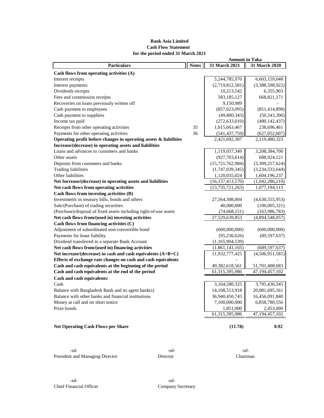# **Bank Asia Limited Cash Flow Statement for the period ended 31 March 2021**

| <b>Particulars</b>                                                | <b>Notes</b> | 31 March 2021       | 31 March 2020     |
|-------------------------------------------------------------------|--------------|---------------------|-------------------|
| Cash flows from operating activities (A)                          |              |                     |                   |
| Interest receipts                                                 |              | 5,244,785,970       | 6,603,159,048     |
| Interest payments                                                 |              | (2,719,812,581)     | (3,388,598,922)   |
| Dividends receipts                                                |              | 10,213,542          | 6,355,903         |
| Fees and commission receipts                                      |              | 583, 185, 127       | 668, 821, 171     |
| Recoveries on loans previously written off                        |              | 9,150,989           |                   |
| Cash payment to employees                                         |              | (857, 623, 095)     | (851, 414, 898)   |
| Cash payment to suppliers                                         |              | (49,800,343)        | (50, 343, 396)    |
| Income tax paid                                                   |              | (272, 633, 010)     | (480, 142, 437)   |
| Receipts from other operating activities                          | 35           | 1,015,663,467       | 238,696,461       |
| Payments for other operating activities                           | 36           | (541, 437, 759)     | (627, 052, 607)   |
| Operating profit before changes in operating assets & liabilities |              | 2,421,692,307       | 2,119,480,323     |
| Increase/(decrease) in operating assets and liabilities           |              |                     |                   |
| Loans and advances to customers and banks                         |              | 1,119,057,349       | 3,208,384,700     |
| Other assets                                                      |              | (927, 703, 614)     | 688,924,121       |
| Deposits from customers and banks                                 |              | (15, 721, 762, 984) | (3,309,257,624)   |
| <b>Trading liabilities</b>                                        |              | (1,747,039,345)     | (3,234,533,644)   |
| Other liabilities                                                 |              | 1,120,035,024       | 1,604,196,237     |
| Net Increase/(decrease) in operating assets and liabilities       |              | (16, 157, 413, 570) | (1,042,286,210)   |
| Net cash flows from operating activities                          |              | (13, 735, 721, 263) | 1,077,194,113     |
| Cash flows from investing activities (B)                          |              |                     |                   |
| Investments in treasury bills, bonds and others                   |              | 27,564,308,004      | (4,630,555,953)   |
| Sale/(Purchase) of trading securities                             |              | 40,000,000          | (100,005,321)     |
| (Purchase)/disposal of fixed assets including right-of-use assets |              | (74, 668, 151)      | (163, 986, 783)   |
| Net cash flows from/(used in) investing activities                |              | 27,529,639,853      | (4,894,548,057)   |
| Cash flows from financing activities (C)                          |              |                     |                   |
| Adjustment of subordinated non-convertible bond                   |              | (600,000,000)       | (600,000,000)     |
| Payments for lease liability                                      |              | (95, 236, 626)      | (89, 597, 637)    |
| Dividend transferred to a separate Bank Account                   |              | (1,165,904,539)     |                   |
| Net cash flows from/(used in) financing activities                |              | (1,861,141,165)     | (689, 597, 637)   |
| Net increase/(decrease) in cash and cash equivalents $(A+B+C)$    |              | 11,932,777,425      | (4,506,951,581)   |
| Effects of exchange rate changes on cash and cash equivalents     |              |                     |                   |
| Cash and cash equivalents at the beginning of the period          |              | 49,382,618,561      | 51,701,408,683    |
| Cash and cash equivalents at the end of the period                |              | 61,315,395,986      | 47, 194, 457, 102 |
| Cash and cash equivalents:                                        |              |                     |                   |
| Cash                                                              |              | 3,164,580,325       | 3,795,436,545     |
| Balance with Bangladesh Bank and its agent bank(s)                |              | 14, 108, 513, 918   | 20,081,695,161    |
| Balance with other banks and financial institutions               |              | 36,940,450,743      | 16,456,091,840    |
| Money at call and on short notice                                 |              | 7,100,000,000       | 6,858,780,556     |
| Prize bonds                                                       |              | 1,851,000           | 2,453,000         |
|                                                                   |              | 61,315,395,986      | 47.194.457.102    |
| <b>Net Operating Cash Flows per Share</b>                         |              | (11.78)             | 0.92              |

-sd- -sd- -sd-President and Managing Director Director Director Chairman

**Amount in Taka**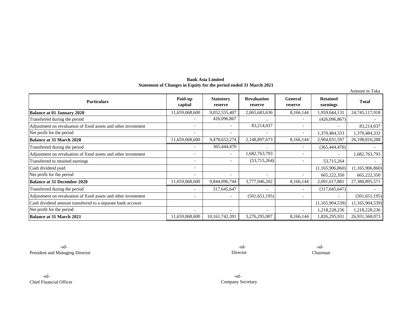**Bank Asia Limited Statement of Changes in Equity for the period ended 31 March 2021**

|                                                                |                          |                             |                               |                           |                             | Amount in Taka  |
|----------------------------------------------------------------|--------------------------|-----------------------------|-------------------------------|---------------------------|-----------------------------|-----------------|
| <b>Particulars</b>                                             | Paid-up<br>capital       | <b>Statutory</b><br>reserve | <b>Revaluation</b><br>reserve | <b>General</b><br>reserve | <b>Retained</b><br>earnings | <b>Total</b>    |
| <b>Balance at 01 January 2020</b>                              | 11,659,068,600           | 9,052,555,407               | 2,065,683,636                 | 8,166,144                 | 1,959,644,131               | 24,745,117,918  |
| Transferred during the period                                  |                          | 426,096,867                 |                               | $\overline{\phantom{a}}$  | (426,096,867)               |                 |
| Adjustment on revaluation of fixed assets and other investment | $\overline{\phantom{0}}$ |                             | 83,214,037                    | $\overline{\phantom{a}}$  |                             | 83,214,037      |
| Net profit for the period                                      |                          |                             |                               | $\overline{\phantom{a}}$  | 1,370,484,333               | 1,370,484,333   |
| <b>Balance at 31 March 2020</b>                                | 11,659,068,600           | 9,478,652,274               | 2,148,897,673                 | 8,166,144                 | 2,904,031,597               | 26,198,816,288  |
| Transferred during the period                                  |                          | 365,444,470                 |                               | $\overline{\phantom{a}}$  | (365, 444, 470)             |                 |
| Adjustment on revaluation of fixed assets and other investment | ٠                        |                             | 1,682,763,793                 | $\overline{\phantom{a}}$  |                             | 1,682,763,793   |
| Transferred to retained earnings                               | $\overline{\phantom{0}}$ |                             | (53,715,264)                  | $\overline{\phantom{a}}$  | 53,715,264                  |                 |
| Cash dividend paid                                             |                          |                             |                               |                           | (1,165,906,860)             | (1,165,906,860) |
| Net profit for the period                                      |                          |                             | $\overline{\phantom{a}}$      | $\overline{\phantom{a}}$  | 665,222,350                 | 665,222,350     |
| <b>Balance at 31 December 2020</b>                             | 11,659,068,600           | 9,844,096,744               | 3,777,946,202                 | 8,166,144                 | 2,091,617,881               | 27,380,895,571  |
| Transferred during the period                                  |                          | 317,645,647                 |                               | $\overline{\phantom{a}}$  | (317, 645, 647)             |                 |
| Adjustment on revaluation of fixed assets and other investment | $\overline{\phantom{0}}$ |                             | (501, 651, 195)               | $\overline{\phantom{a}}$  |                             | (501, 651, 195) |
| Cash dividend amount transferred to a separate bank account    |                          |                             |                               |                           | (1,165,904,539)             | (1,165,904,539) |
| Net profit for the period                                      |                          |                             |                               |                           | 1,218,228,236               | 1,218,228,236   |
| <b>Balance at 31 March 2021</b>                                | 11,659,068,600           | 10,161,742,391              | 3,276,295,007                 | 8,166,144                 | 1,826,295,931               | 26,931,568,073  |

-sd- -sd- -sd-President and Managing Director Chairman

Director

-sd- -sd-Chief Financial Officer

Company Secretary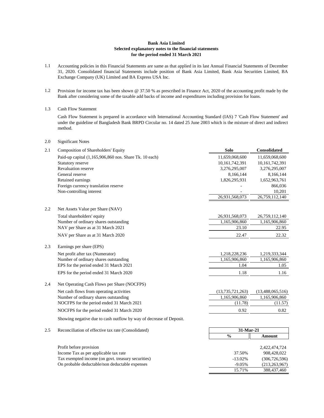#### **Bank Asia Limited Selected explanatory notes to the financial statements for the period ended 31 March 2021**

- 1.1 Accounting policies in this Financial Statements are same as that applied in its last Annual Financial Statements of December 31, 2020. Consolidated financial Statements include position of Bank Asia Limited, Bank Asia Securities Limited, BA Exchange Company (UK) Limited and BA Express USA Inc.
- 1.2 Provision for income tax has been shown @ 37.50 % as prescribed in Finance Act, 2020 of the accounting profit made by the Bank after considering some of the taxable add backs of income and expenditures including provision for loans.
- 1.3 Cash Flow Statement

Cash Flow Statement is prepared in accordance with International Accounting Standard (IAS) 7 'Cash Flow Statement' and under the guideline of Bangladesh Bank BRPD Circular no. 14 dated 25 June 2003 which is the mixture of direct and indirect method.

2.0 Significant Notes

| 2.1 | Composition of Shareholders' Equity                                 | <b>Solo</b>         | <b>Consolidated</b> |
|-----|---------------------------------------------------------------------|---------------------|---------------------|
|     | Paid-up capital (1,165,906,860 nos. Share Tk. 10 each)              | 11,659,068,600      | 11,659,068,600      |
|     | Statutory reserve                                                   | 10,161,742,391      | 10,161,742,391      |
|     | <b>Revaluation reserve</b>                                          | 3,276,295,007       | 3,276,295,007       |
|     | General reserve                                                     | 8,166,144           | 8,166,144           |
|     | Retained earnings                                                   | 1,826,295,931       | 1,652,963,761       |
|     | Foreign currency translation reserve                                |                     | 866,036             |
|     | Non-controlling interest                                            |                     | 10,201              |
|     |                                                                     | 26,931,568,073      | 26,759,112,140      |
| 2.2 | Net Assets Value per Share (NAV)                                    |                     |                     |
|     | Total shareholders' equity                                          | 26,931,568,073      | 26,759,112,140      |
|     | Number of ordinary shares outstanding                               | 1,165,906,860       | 1,165,906,860       |
|     | NAV per Share as at 31 March 2021                                   | 23.10               | 22.95               |
|     | NAV per Share as at 31 March 2020                                   | 22.47               | 22.32               |
| 2.3 | Earnings per share (EPS)                                            |                     |                     |
|     | Net profit after tax (Numerator)                                    | 1,218,228,236       | 1,219,333,344       |
|     | Number of ordinary shares outstanding                               | 1,165,906,860       | 1,165,906,860       |
|     | EPS for the period ended 31 March 2021                              | 1.04                | 1.05                |
|     | EPS for the period ended 31 March 2020                              | 1.18                | 1.16                |
| 2.4 | Net Operating Cash Flows per Share (NOCFPS)                         |                     |                     |
|     | Net cash flows from operating activities                            | (13, 735, 721, 263) | (13,488,065,516)    |
|     | Number of ordinary shares outstanding                               | 1,165,906,860       | 1,165,906,860       |
|     | NOCFPS for the period ended 31 March 2021                           | (11.78)             | (11.57)             |
|     | NOCFPS for the period ended 31 March 2020                           | 0.92                | 0.82                |
|     | Showing negative due to cash outflow by way of decrease of Deposit. |                     |                     |
| 2.5 | Reconciliation of effective tax rate (Consolidated)                 | 31-Mar-21           |                     |
|     |                                                                     | $\frac{0}{0}$       | <b>Amount</b>       |
|     | Profit before provision                                             |                     | 2,422,474,724       |
|     | Income Tax as per applicable tax rate                               | 37.50%              | 908,428,022         |

| meonie Tax as per applicable tax rate              | <i>JI.JUI</i> U | 700.720.022     |
|----------------------------------------------------|-----------------|-----------------|
| Tax exempted income (on govt. treasury securities) | $-13.02\%$      | (306, 726, 596) |
| On probable deductable/non deductable expenses     | $-9.05\%$       | (213.263.967)   |
|                                                    | 15.71%          | 388,437,460     |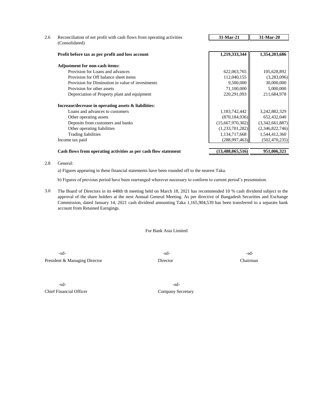| Reconciliation of net profit with cash flows from operating activities | 31-Mar-21        | 31-Mar-20       |
|------------------------------------------------------------------------|------------------|-----------------|
| (Consolidated)                                                         |                  |                 |
| Profit before tax as per profit and loss account                       | 1,219,333,344    | 1,354,203,686   |
| <b>Adjustment for non-cash items:</b>                                  |                  |                 |
| Provision for Loans and advances                                       | 622,063,765      | 105,628,892     |
| Provision for Off balance sheet items                                  | 112,040,155      | (3,283,096)     |
| Provision for Diminution in value of investments                       | 9,500,000        | 30,000,000      |
| Provision for other assets                                             | 71,100,000       | 5,000,000       |
| Depreciation of Property plant and equipment                           | 220,291,093      | 211,684,978     |
| Increase/decrease in operating assets & liabilities:                   |                  |                 |
| Loans and advances to customers                                        | 1,183,742,442    | 3,242,882,329   |
| Other operating assets                                                 | (870, 184, 936)  | 652,432,040     |
| Deposits from customers and banks                                      | (15,667,970,302) | (3,342,661,887) |
| Other operating liabilities                                            | (1,233,701,282)  | (2,346,822,746) |
| <b>Trading liabilities</b>                                             | 1,134,717,668    | 1,544,412,360   |
| Income tax paid                                                        | (288,997,463)    | (502, 470, 235) |
| Cash flows from operating activities as per cash flow statement        | (13,488,065,516) | 951,006,321     |

#### 2.8 General:

a) Figures appearing in these financial statements have been rounded off to the nearest Taka.

b) Figures of previous period have been rearranged wherever necessary to conform to current period's presentation.

3.0 The Board of Directors in its 448th th meeting held on March 18, 2021 has recommended 10 % cash dividend subject to the approval of the share holders at the next Annual General Meeting. As per directive of Bangadesh Securities and Exchange Commission, dated January 14, 2021 cash dividend amounting Taka 1,165,904,539 has been transferred to a separate bank account from Retained Earngings.

For Bank Asia Limited

 $-sd-$ President & Managing Director Director Director Chairman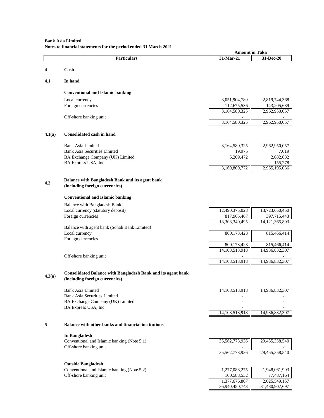# **Bank Asia Limited Notes to financial statements for the period ended 31 March 2021**

|        | токо ю пішкими запешено гог піс регіой списа эт маген                    | <b>Amount in Taka</b> |                   |
|--------|--------------------------------------------------------------------------|-----------------------|-------------------|
|        | <b>Particulars</b>                                                       | 31-Mar-21             | 31-Dec-20         |
| 4      | Cash                                                                     |                       |                   |
|        |                                                                          |                       |                   |
| 4.1    | In hand                                                                  |                       |                   |
|        | <b>Conventional and Islamic banking</b>                                  |                       |                   |
|        | Local currency                                                           | 3,051,904,789         | 2,819,744,368     |
|        | Foreign currencies                                                       | 112,675,536           | 143,205,689       |
|        |                                                                          | 3,164,580,325         | 2,962,950,057     |
|        | Off-shore banking unit                                                   |                       |                   |
|        |                                                                          | 3,164,580,325         | 2,962,950,057     |
| 4.1(a) | <b>Consolidated cash in hand</b>                                         |                       |                   |
|        | <b>Bank Asia Limited</b>                                                 | 3,164,580,325         | 2,962,950,057     |
|        | <b>Bank Asia Securities Limited</b>                                      | 19,975                | 7,019             |
|        | BA Exchange Company (UK) Limited                                         | 5,209,472             | 2,082,682         |
|        | BA Express USA, Inc                                                      |                       | 155,278           |
|        |                                                                          | 3,169,809,772         | 2,965,195,036     |
|        | <b>Balance with Bangladesh Bank and its agent bank</b>                   |                       |                   |
| 4.2    | (including foreign currencies)                                           |                       |                   |
|        | <b>Conventional and Islamic banking</b>                                  |                       |                   |
|        | <b>Balance with Bangladesh Bank</b>                                      |                       |                   |
|        | Local currency (statutory deposit)                                       | 12,490,375,028        | 13,723,650,450    |
|        | Foreign currencies                                                       | 817,965,467           | 397,715,443       |
|        |                                                                          | 13,308,340,495        | 14, 121, 365, 893 |
|        | Balance with agent bank (Sonali Bank Limited)                            |                       | 815,466,414       |
|        | Local currency<br>Foreign currencies                                     | 800,173,423           |                   |
|        |                                                                          | 800,173,423           | 815,466,414       |
|        |                                                                          | 14,108,513,918        | 14,936,832,307    |
|        | Off-shore banking unit                                                   |                       |                   |
|        |                                                                          | 14,108,513,918        | 14,936,832,307    |
| 4.2(a) | <b>Consolidated Balance with Bangladesh Bank and its agent bank</b>      |                       |                   |
|        | (including foreign currencies)                                           |                       |                   |
|        | <b>Bank Asia Limited</b>                                                 | 14, 108, 513, 918     | 14,936,832,307    |
|        | <b>Bank Asia Securities Limited</b>                                      |                       |                   |
|        | BA Exchange Company (UK) Limited                                         |                       |                   |
|        | BA Express USA, Inc                                                      | 14,108,513,918        | 14,936,832,307    |
|        |                                                                          |                       |                   |
| 5      | <b>Balance with other banks and financial institutions</b>               |                       |                   |
|        | In Bangladesh                                                            |                       |                   |
|        | Conventional and Islamic banking (Note 5.1)                              | 35,562,773,936        | 29,455,358,540    |
|        | Off-shore banking unit                                                   | 35,562,773,936        | 29,455,358,540    |
|        |                                                                          |                       |                   |
|        | <b>Outside Bangladesh</b><br>Conventional and Islamic banking (Note 5.2) | 1,277,088,275         | 1,948,061,993     |
|        | Off-shore banking unit                                                   | 100,588,532           | 77,487,164        |
|        |                                                                          | 1,377,676,807         | 2,025,549,157     |
|        |                                                                          | 36,940,450,743        | 31,480,907,697    |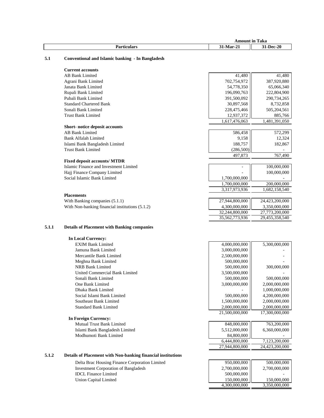|                      | Amount             | <b>CONTRACTOR</b><br>Taka<br>în |
|----------------------|--------------------|---------------------------------|
| Portioulore<br>лнаг. | $\bullet$<br>™ar-∠ | 1-Dec-20                        |

#### **5.1 Conventional and Islamic banking - In Bangladesh**

|       | <b>Current accounts</b>                            |                |                |
|-------|----------------------------------------------------|----------------|----------------|
|       | <b>AB Bank Limited</b>                             | 41,480         | 41,480         |
|       | Agrani Bank Limited                                | 702,754,972    | 387,920,880    |
|       | Janata Bank Limited                                | 54,778,350     | 65,066,340     |
|       | Rupali Bank Limited                                | 196,090,763    | 222,804,900    |
|       | Pubali Bank Limited                                | 391,500,092    | 290,734,265    |
|       | <b>Standard Chartered Bank</b>                     | 30,897,568     | 8,732,858      |
|       | Sonali Bank Limited                                | 228,475,466    | 505,204,561    |
|       | <b>Trust Bank Limited</b>                          | 12,937,372     | 885,766        |
|       |                                                    | 1,617,476,063  | 1,481,391,050  |
|       | Short-notice deposit accounts                      |                |                |
|       | <b>AB Bank Limited</b>                             | 586,458        | 572,299        |
|       | <b>Bank Alfalah Limited</b>                        | 9,158          | 12,324         |
|       | Islami Bank Bangladesh Limited                     | 188,757        | 182,867        |
|       | <b>Trust Bank Limited</b>                          | (286, 500)     |                |
|       |                                                    | 497,873        | 767,490        |
|       | <b>Fixed deposit accounts/ MTDR</b>                |                |                |
|       | Islamic Finance and Investment Limited             |                | 100,000,000    |
|       | Hajj Finance Company Limited                       |                | 100,000,000    |
|       | Social Islamic Bank Limited                        | 1,700,000,000  |                |
|       |                                                    | 1,700,000,000  | 200,000,000    |
|       |                                                    | 3,317,973,936  | 1,682,158,540  |
|       | <b>Placements</b>                                  |                |                |
|       | With Banking companies (5.1.1)                     | 27,944,800,000 | 24,423,200,000 |
|       | With Non-banking financial institutions (5.1.2)    | 4,300,000,000  | 3,350,000,000  |
|       |                                                    | 32,244,800,000 | 27,773,200,000 |
|       |                                                    | 35,562,773,936 | 29,455,358,540 |
| 5.1.1 | <b>Details of Placement with Banking companies</b> |                |                |
|       | <b>In Local Currency:</b>                          |                |                |
|       | <b>EXIM Bank Limited</b>                           | 4,000,000,000  | 5,300,000,000  |
|       | Jamuna Bank Limited                                | 3,000,000,000  |                |
|       | Mercantile Bank Limited                            | 2,500,000,000  |                |
|       | Meghna Bank Limited                                | 500,000,000    |                |
|       |                                                    | 00000000       | 0.0000         |

| wwelling Dann Limmou           | <b>JUU,UUU,UUU</b> |                |
|--------------------------------|--------------------|----------------|
| <b>NRB Bank Limited</b>        | 500,000,000        | 300,000,000    |
| United Commercial Bank Limited | 3,500,000,000      |                |
| Sonali Bank Limited            | 500,000,000        | 500,000,000    |
| One Bank Limited               | 3,000,000,000      | 2,000,000,000  |
| Dhaka Bank Limited             |                    | 1.000.000.000  |
| Social Islami Bank Limited     | 500,000,000        | 4.200.000.000  |
| Southeast Bank Limited         | 1.500,000,000      | 2,000,000,000  |
| <b>Standard Bank Limited</b>   | 2,000,000,000      | 2,000,000,000  |
|                                | 21.500.000.000     | 17.300.000.000 |
| In Foreign Currency:           |                    |                |
| Mutual Trust Bank Limited      | 848,000,000        | 763,200,000    |
| Islami Bank Bangladesh Limited | 5,512,000,000      | 6.360,000,000  |
| Modhumoti Bank Limited         | 84,800,000         |                |

 $\frac{6,444,800,000}{7,123,200,000}$   $\frac{7,123,200,000}{24,423,200,000}$ 

27,944,800,000

4,300,000,000

#### **5.1.2 Details of Placement with Non-banking financial institutions**

Delta Brac Housing Finance Corporation Limited 950,000,000 500,000,000 500,000,000 Investment Corporation of Bangladesh 2,700,000,000 2,700,000,000 2,700,000,000 IDCL Finance Limited 500,000,000 Union Capital Limited 500,000,000 - 150,000,000 - 150,000,000 - 150,000,000 - 150,000,000 - 150,000,000 - 150,000,000 - 150,000,000 - 150,000,000 - 150,000,000 - 150,000,000 - 150,000,000 -Union Capital Limited 150,000,000 150,000,000 150,000,000 150,000,000 150,000,000 150,000,000 150,000,000 150,000,000 150,000,000 150,000,000 150,000,000 150,000,000 150,000,000 150,000,000 150,000,000 150,000,000 150,000,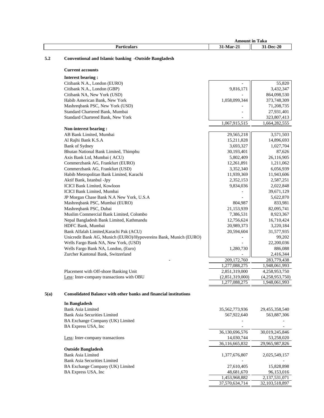|                  | Amount | m<br>Taka<br>în  |
|------------------|--------|------------------|
| Par'<br>ticulars | Mar-2. | <b>31-Dec-20</b> |

# **5.2 Conventional and Islamic banking -Outside Bangladesh**

# **Current accounts**

| <b>Interest bearing:</b>                                         |                 |                 |
|------------------------------------------------------------------|-----------------|-----------------|
| Citibank N.A., London (EURO)                                     |                 | 55,820          |
| Citibank N.A., London (GBP)                                      | 9,816,171       | 3,432,347       |
| Citibank NA, New York (USD)                                      |                 | 864,098,530     |
| Habib American Bank, New York                                    | 1,058,099,344   | 373,748,309     |
| Mashreqbank PSC, New York (USD)                                  |                 | 71,208,735      |
| Standard Chartered Bank, Mumbai                                  |                 | 27,931,401      |
| Standard Chartered Bank, New York                                |                 | 323,807,413     |
|                                                                  | 1,067,915,515   | 1,664,282,555   |
| Non-interest bearing:                                            |                 |                 |
| AB Bank Limited, Mumbai                                          | 29,565,218      | 3,571,503       |
| Al Rajhi Bank K.S.A                                              | 15,211,828      | 14,896,693      |
| <b>Bank of Sydney</b>                                            | 3,693,327       | 1,027,704       |
| Bhutan National Bank Limited, Thimphu                            | 30,193,401      | 87,626          |
| Axis Bank Ltd, Mumbai (ACU)                                      | 5,802,409       | 26,116,905      |
| Commerzbank AG, Frankfurt (EURO)                                 | 12,261,891      | 1,211,062       |
| Commerzbank AG, Frankfurt (USD)                                  | 3,352,340       | 6,056,939       |
| Habib Metropolitan Bank Limited, Karachi                         | 11,939,369      | 11,943,606      |
| Aktif Bank, Istanbul -Jpy                                        | 2,352,153       | 2,587,251       |
| <b>ICICI Bank Limited. Kowloon</b>                               | 9,834,036       | 2,022,848       |
| ICICI Bank Limited, Mumbai                                       |                 | 39,671,129      |
| JP Morgan Chase Bank N.A New York, U.S.A                         |                 | 5,622,870       |
| Mashreqbank PSC, Mumbai (EURO)                                   | 804,987         | 833,981         |
| Mashreqbank PSC, Dubai                                           | 21,153,939      | 82,095,741      |
| Muslim Commercial Bank Limited, Colombo                          | 7,386,531       | 8,923,367       |
| Nepal Bangladesh Bank Limited, Kathmandu                         | 12,756,624      | 16,710,424      |
| HDFC Bank, Mumbai                                                | 20,989,373      | 3,220,184       |
| Bank Alfalah Limited, Karachi Pak (ACU)                          | 20,594,604      | 31,577,935      |
| Unicredit Bank AG, Munich (EURO)/Hypovereins Bank, Munich (EURO) |                 | 99,202          |
| Wells Fargo Bank NA, New York, (USD)                             |                 | 22,200,036      |
| Wells Fargo Bank NA, London, (Euro)                              | 1,280,730       | 886,088         |
| Zurcher Kantonal Bank, Switzerland                               |                 | 2,416,344       |
|                                                                  | 209,172,760     | 283,779,438     |
|                                                                  | 1,277,088,275   | 1,948,061,993   |
| Placement with Off-shore Banking Unit                            | 2,851,319,000   | 4,258,953,750   |
| Less: Inter-company transactions with OBU                        | (2,851,319,000) | (4,258,953,750) |
|                                                                  | 1,277,088,275   | 1,948,061,993   |

# **5(a) Consolidated Balance with other banks and financial institutions**

| In Bangladesh                    |                |                |
|----------------------------------|----------------|----------------|
| Bank Asia Limited                | 35,562,773,936 | 29,455,358,540 |
| Bank Asia Securities Limited     | 567,922,640    | 563,887,306    |
| BA Exchange Company (UK) Limited |                |                |
| BA Express USA, Inc.             |                |                |
|                                  | 36,130,696,576 | 30,019,245,846 |
| Less: Inter-company transactions | 14.030.744     | 53,258,020     |
|                                  | 36.116.665.832 | 29.965.987.826 |
| <b>Outside Bangladesh</b>        |                |                |
| Bank Asia Limited                | 1,377,676,807  | 2,025,549,157  |
| Bank Asia Securities Limited     |                |                |
| BA Exchange Company (UK) Limited | 27,610,405     | 15,828,898     |
| BA Express USA, Inc.             | 48,681,670     | 96,153,016     |
|                                  | 1,453,968,882  | 2,137,531,071  |
|                                  | 37.570.634.714 | 32.103.518.897 |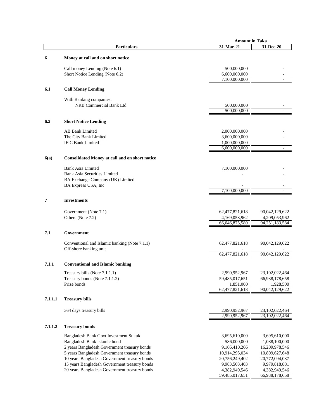|         |                                                                                                | <b>Amount in Taka</b>           |                                 |
|---------|------------------------------------------------------------------------------------------------|---------------------------------|---------------------------------|
|         | <b>Particulars</b>                                                                             | 31-Mar-21                       | $31$ -Dec- $20$                 |
| 6       | Money at call and on short notice                                                              |                                 |                                 |
|         | Call money Lending (Note 6.1)                                                                  | 500,000,000                     |                                 |
|         | Short Notice Lending (Note 6.2)                                                                | 6,600,000,000                   |                                 |
|         |                                                                                                | 7,100,000,000                   |                                 |
| 6.1     | <b>Call Money Lending</b>                                                                      |                                 |                                 |
|         | With Banking companies:                                                                        |                                 |                                 |
|         | NRB Commercial Bank Ltd                                                                        | 500,000,000                     |                                 |
|         |                                                                                                | 500,000,000                     |                                 |
| 6.2     | <b>Short Notice Lending</b>                                                                    |                                 |                                 |
|         | <b>AB Bank Limited</b>                                                                         | 2,000,000,000                   |                                 |
|         | The City Bank Limited                                                                          | 3,600,000,000                   |                                 |
|         | <b>IFIC Bank Limited</b>                                                                       | 1,000,000,000<br>6,600,000,000  |                                 |
|         |                                                                                                |                                 |                                 |
| 6(a)    | <b>Consolidated Money at call and on short notice</b>                                          |                                 |                                 |
|         | <b>Bank Asia Limited</b>                                                                       | 7,100,000,000                   |                                 |
|         | <b>Bank Asia Securities Limited</b>                                                            |                                 |                                 |
|         | BA Exchange Company (UK) Limited                                                               |                                 |                                 |
|         | BA Express USA, Inc                                                                            | 7,100,000,000                   |                                 |
| 7       | <b>Investments</b>                                                                             |                                 |                                 |
|         |                                                                                                |                                 |                                 |
|         | Government (Note 7.1)                                                                          | 62,477,821,618                  | 90,042,129,622                  |
|         | Others (Note 7.2)                                                                              | 4,169,053,962<br>66,646,875,580 | 4,209,053,962<br>94,251,183,584 |
|         |                                                                                                |                                 |                                 |
| 7.1     | Government                                                                                     |                                 |                                 |
|         | Conventional and Islamic banking (Note 7.1.1)                                                  | 62,477,821,618                  | 90,042,129,622                  |
|         | Off-shore banking unit                                                                         | 62,477,821,618                  | 90,042,129,622                  |
|         |                                                                                                |                                 |                                 |
| 7.1.1   | <b>Conventional and Islamic banking</b>                                                        |                                 |                                 |
|         | Treasury bills (Note 7.1.1.1)                                                                  | 2,990,952,967                   | 23, 102, 022, 464               |
|         | Treasury bonds (Note 7.1.1.2)                                                                  | 59,485,017,651                  | 66,938,178,658                  |
|         | Prize bonds                                                                                    | 1,851,000<br>62,477,821,618     | 1,928,500<br>90,042,129,622     |
| 7.1.1.1 | <b>Treasury bills</b>                                                                          |                                 |                                 |
|         |                                                                                                |                                 |                                 |
|         | 364 days treasury bills                                                                        | 2,990,952,967                   | 23,102,022,464                  |
|         |                                                                                                | 2,990,952,967                   | 23,102,022,464                  |
| 7.1.1.2 | <b>Treasury bonds</b>                                                                          |                                 |                                 |
|         | Bangladesh Bank Govt Investment Sukuk                                                          | 3,695,610,000                   | 3,695,610,000                   |
|         | Bangladesh Bank Islamic bond                                                                   | 586,000,000                     | 1,088,100,000                   |
|         | 2 years Bangladesh Government treasury bonds                                                   | 9,166,410,266                   | 16,209,978,546                  |
|         | 5 years Bangladesh Government treasury bonds                                                   | 10,914,295,034                  | 10,809,627,648                  |
|         | 10 years Bangladesh Government treasury bonds                                                  | 20,756,249,402                  | 20,772,094,037                  |
|         | 15 years Bangladesh Government treasury bonds<br>20 years Bangladesh Government treasury bonds | 9,983,503,403<br>4,382,949,546  | 9,979,818,881<br>4,382,949,546  |
|         |                                                                                                | 59,485,017,651                  | 66,938,178,658                  |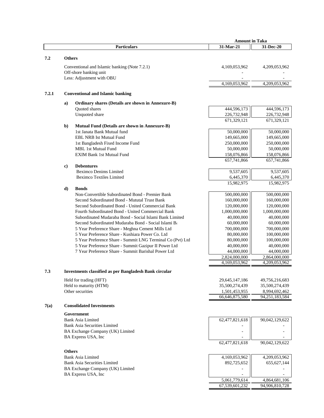|       |               |                                                                                                                | <b>Amount in Taka</b>           |                                    |
|-------|---------------|----------------------------------------------------------------------------------------------------------------|---------------------------------|------------------------------------|
|       |               | <b>Particulars</b>                                                                                             | 31-Mar-21                       | 31-Dec-20                          |
|       |               |                                                                                                                |                                 |                                    |
| 7.2   | <b>Others</b> |                                                                                                                |                                 |                                    |
|       |               | Conventional and Islamic banking (Note 7.2.1)                                                                  | 4,169,053,962                   | 4,209,053,962                      |
|       |               | Off-shore banking unit                                                                                         |                                 |                                    |
|       |               | Less: Adjustment with OBU                                                                                      |                                 |                                    |
|       |               |                                                                                                                | 4,169,053,962                   | 4,209,053,962                      |
| 7.2.1 |               | <b>Conventional and Islamic banking</b>                                                                        |                                 |                                    |
|       |               |                                                                                                                |                                 |                                    |
|       | a)            | Ordinary shares (Details are shown in Annexure-B)                                                              |                                 |                                    |
|       |               | Quoted shares<br>Unquoted share                                                                                | 444,596,173<br>226,732,948      | 444,596,173<br>226,732,948         |
|       |               |                                                                                                                | 671,329,121                     | 671,329,121                        |
|       | b)            | Mutual Fund (Details are shown in Annexure-B)                                                                  |                                 |                                    |
|       |               | 1st Janata Bank Mutual fund                                                                                    | 50,000,000                      | 50,000,000                         |
|       |               | EBL NRB Ist Mutual Fund                                                                                        | 149,665,000                     | 149,665,000                        |
|       |               | 1st Bangladesh Fixed Income Fund                                                                               | 250,000,000                     | 250,000,000                        |
|       |               | <b>MBL 1st Mutual Fund</b>                                                                                     | 50,000,000                      | 50,000,000                         |
|       |               | <b>EXIM Bank 1st Mutual Fund</b>                                                                               | 158,076,866                     | 158,076,866                        |
|       |               |                                                                                                                | 657,741,866                     | 657,741,866                        |
|       | c)            | <b>Debentures</b>                                                                                              |                                 |                                    |
|       |               | Beximco Denims Limited<br><b>Beximco Textiles Limited</b>                                                      | 9,537,605                       | 9,537,605                          |
|       |               |                                                                                                                | 6,445,370<br>15,982,975         | 6,445,370<br>15,982,975            |
|       | d)            | <b>Bonds</b>                                                                                                   |                                 |                                    |
|       |               | Non-Convertible Subordinated Bond - Premier Bank                                                               | 500,000,000                     | 500,000,000                        |
|       |               | Second Subordinated Bond - Mututal Trust Bank                                                                  | 160,000,000                     | 160,000,000                        |
|       |               | Second Subordinated Bond - United Commercial Bank                                                              | 120,000,000                     | 120,000,000                        |
|       |               | Fourth Subordinated Bond - United Commercial Bank                                                              | 1,000,000,000                   | 1,000,000,000                      |
|       |               | Subordinated Mudaraba Bond - Social Islami Bank Limited                                                        | 40,000,000                      | 40,000,000                         |
|       |               | Second Subordinated Mudaraba Bond - Social Islami Ba                                                           | 60,000,000                      | 60,000,000                         |
|       |               | 5 Year Preference Share - Meghna Cement Mills Ltd                                                              | 700,000,000                     | 700,000,000                        |
|       |               | 5 Year Preference Share - Kushiara Power Co. Ltd<br>5 Year Preference Share - Summit LNG Terminal Co (Pvt) Ltd | 80,000,000<br>80,000,000        | 100,000,000<br>100,000,000         |
|       |               | 5 Year Preference Share - Summit Gazipur II Power Ltd                                                          | 40,000,000                      | 40,000,000                         |
|       |               | 7 Year Preference Share - Summit Barishal Power Ltd                                                            | 44,000,000                      | 44,000,000                         |
|       |               |                                                                                                                | 2,824,000,000                   | 2,864,000,000                      |
|       |               |                                                                                                                | 4,169,053,962                   | 4,209,053,962                      |
| 7.3   |               | <b>Investments classified as per Bangladesh Bank circular</b>                                                  |                                 |                                    |
|       |               |                                                                                                                |                                 |                                    |
|       |               | Held for trading (HFT)                                                                                         | 29,645,147,186                  | 49,756,216,683                     |
|       |               | Held to maturity (HTM)                                                                                         | 35,500,274,439                  | 35,500,274,439                     |
|       |               | Other securities                                                                                               | 1,501,453,955<br>66,646,875,580 | 8,994,692,462<br>94, 251, 183, 584 |
|       |               |                                                                                                                |                                 |                                    |
| 7(a)  |               | <b>Consolidated Investments</b>                                                                                |                                 |                                    |
|       |               | Government                                                                                                     |                                 |                                    |
|       |               | <b>Bank Asia Limited</b>                                                                                       | 62,477,821,618                  | 90,042,129,622                     |
|       |               | <b>Bank Asia Securities Limited</b>                                                                            |                                 |                                    |
|       |               | BA Exchange Company (UK) Limited                                                                               |                                 |                                    |
|       |               | BA Express USA, Inc                                                                                            | 62,477,821,618                  | 90,042,129,622                     |
|       |               |                                                                                                                |                                 |                                    |
|       | <b>Others</b> |                                                                                                                |                                 |                                    |
|       |               | <b>Bank Asia Limited</b>                                                                                       | 4,169,053,962                   | 4,209,053,962                      |
|       |               | <b>Bank Asia Securities Limited</b>                                                                            | 892,725,652                     | 655, 627, 144                      |
|       |               | BA Exchange Company (UK) Limited                                                                               |                                 |                                    |
|       |               | BA Express USA, Inc                                                                                            | 5,061,779,614                   | 4,864,681,106                      |
|       |               |                                                                                                                | 67,539,601,232                  | 94,906,810,728                     |
|       |               |                                                                                                                |                                 |                                    |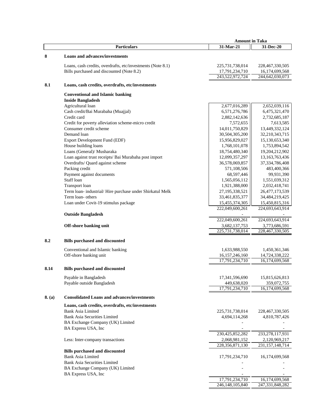|        |                                                             | <b>Amount in Taka</b> |                             |
|--------|-------------------------------------------------------------|-----------------------|-----------------------------|
|        | <b>Particulars</b>                                          | 31-Mar-21             | 31-Dec-20                   |
| 8      | <b>Loans and advances/investments</b>                       |                       |                             |
|        | Loans, cash credits, overdrafts, etc/investments (Note 8.1) | 225,731,738,014       | 228,467,330,505             |
|        | Bills purchased and discounted (Note 8.2)                   | 17,791,234,710        | 16,174,699,568              |
|        |                                                             | 243,522,972,724       | 244,642,030,073             |
| 8.1    | Loans, cash credits, overdrafts, etc/investments            |                       |                             |
|        | <b>Conventional and Islamic banking</b>                     |                       |                             |
|        | <b>Inside Bangladesh</b>                                    |                       |                             |
|        | Agricultural loan                                           | 2,677,016,289         | 2,652,039,116               |
|        | Cash credit/Bai Murabaha (Muajjal)                          | 6,571,276,786         | 6,475,321,470               |
|        | Credit card                                                 | 2,882,142,636         | 2,732,685,187               |
|        | Credit for poverty alleviation scheme-micro credit          | 7,572,655             | 7,613,585                   |
|        | Consumer credit scheme                                      | 14,011,750,829        | 13,449,332,124              |
|        | Demand loan                                                 | 30,504,305,200        | 32,210,343,715              |
|        | Export Development Fund (EDF)                               | 15,956,829,027        | 15,130,653,340              |
|        | House building loans                                        | 1,768,101,078         | 1,753,894,542               |
|        | Loans (General)/ Musharaka                                  | 18,754,480,340        | 19,204,212,902              |
|        | Loan against trust receipts/ Bai Murabaha post import       | 12,099,357,297        | 13, 163, 763, 436           |
|        | Overdrafts/ Quard against scheme                            | 36,578,069,857        | 37,334,786,408              |
|        | Packing credit                                              | 571,108,506           | 483,400,366                 |
|        | Payment against documents                                   | 68,597,446            | 99,931,390                  |
|        | Staff loan                                                  | 1,565,056,112         | 1,551,039,312               |
|        | Transport loan                                              | 1,921,388,000         | 2,032,418,741               |
|        | Term loan- industrial/Hire purchase under Shirkatul Melk    | 27, 195, 338, 521     | 26,477,173,539              |
|        | Term loan- others                                           | 33,461,835,377        | 34,484,219,425              |
|        | Loan under Covit-19 stimulus package                        | 15,455,374,305        | 15,450,815,316              |
|        | <b>Outside Bangladesh</b>                                   | 222,049,600,261       | 224,693,643,914             |
|        |                                                             | 222,049,600,261       | 224,693,643,914             |
|        | Off-shore banking unit                                      | 3,682,137,753         | 3,773,686,591               |
|        |                                                             | 225,731,738,014       | 228,467,330,505             |
| 8.2    | <b>Bills purchased and discounted</b>                       |                       |                             |
|        | Conventional and Islamic banking                            | 1,633,988,550         | 1,450,361,346               |
|        | Off-shore banking unit                                      | 16, 157, 246, 160     | 14,724,338,222              |
|        |                                                             | 17,791,234,710        | 16,174,699,568              |
| 8.14   | <b>Bills purchased and discounted</b>                       |                       |                             |
|        | Payable in Bangladesh                                       | 17,341,596,690        | 15,815,626,813              |
|        | Payable outside Bangladesh                                  | 449,638,020           | 359,072,755                 |
|        |                                                             | 17,791,234,710        | $\overline{16,1}74,699,568$ |
| 8. (a) | <b>Consolidated Loans and advances/investments</b>          |                       |                             |
|        | Loans, cash credits, overdrafts, etc/investments            |                       |                             |
|        | <b>Bank Asia Limited</b>                                    | 225,731,738,014       | 228, 467, 330, 505          |
|        | <b>Bank Asia Securities Limited</b>                         | 4,694,114,268         | 4,810,787,426               |
|        | BA Exchange Company (UK) Limited                            |                       |                             |
|        | BA Express USA, Inc                                         |                       |                             |
|        |                                                             | 230,425,852,282       | 233, 278, 117, 931          |
|        | Less: Inter-company transactions                            | 2,068,981,152         | 2,120,969,217               |
|        |                                                             | 228,356,871,130       | 231, 157, 148, 714          |
|        | <b>Bills purchased and discounted</b>                       |                       |                             |
|        | <b>Bank Asia Limited</b>                                    | 17,791,234,710        | 16, 174, 699, 568           |
|        | <b>Bank Asia Securities Limited</b>                         |                       |                             |
|        | BA Exchange Company (UK) Limited                            |                       |                             |
|        | BA Express USA, Inc                                         |                       |                             |
|        |                                                             | 17,791,234,710        | 16,174,699,568              |
|        |                                                             | 246,148,105,840       | 247,331,848,282             |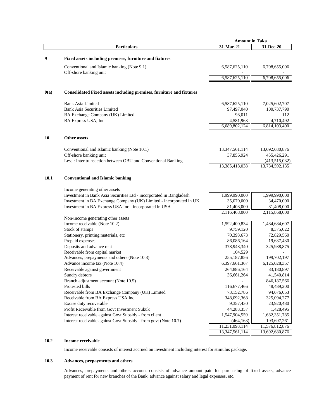|      |                                                                                                                            | <b>Amount in Taka</b>        |                               |
|------|----------------------------------------------------------------------------------------------------------------------------|------------------------------|-------------------------------|
|      | <b>Particulars</b>                                                                                                         | 31-Mar-21                    | 31-Dec-20                     |
|      |                                                                                                                            |                              |                               |
| 9    | Fixed assets including premises, furniture and fixtures                                                                    |                              |                               |
|      | Conventional and Islamic banking (Note 9.1)                                                                                | 6,587,625,110                | 6,708,655,006                 |
|      | Off-shore banking unit                                                                                                     |                              |                               |
|      |                                                                                                                            | 6,587,625,110                | 6,708,655,006                 |
| 9(a) | Consolidated Fixed assets including premises, furniture and fixtures                                                       |                              |                               |
|      |                                                                                                                            |                              |                               |
|      | <b>Bank Asia Limited</b>                                                                                                   | 6,587,625,110                | 7,025,602,707                 |
|      | <b>Bank Asia Securities Limited</b>                                                                                        | 97,497,040                   | 100,737,790                   |
|      | BA Exchange Company (UK) Limited                                                                                           | 98,011                       | 112                           |
|      | BA Express USA, Inc                                                                                                        | 4,581,963<br>6,689,802,124   | 4,710,492<br>6,814,103,400    |
|      |                                                                                                                            |                              |                               |
| 10   | <b>Other assets</b>                                                                                                        |                              |                               |
|      | Conventional and Islamic banking (Note 10.1)                                                                               | 13, 347, 561, 114            | 13,692,680,876                |
|      | Off-shore banking unit                                                                                                     | 37,856,924                   | 455,426,291                   |
|      | Less : Inter transaction between OBU and Conventional Banking                                                              |                              | (413,515,032)                 |
|      |                                                                                                                            | 13,385,418,038               | 13,734,592,135                |
| 10.1 | <b>Conventional and Islamic banking</b>                                                                                    |                              |                               |
|      | Income generating other assets                                                                                             |                              |                               |
|      | Investment in Bank Asia Securities Ltd - incorporated in Bangladesh                                                        | 1,999,990,000                | 1,999,990,000                 |
|      | Investment in BA Exchange Company (UK) Limited - incorporated in UK                                                        | 35,070,000                   | 34,470,000                    |
|      | Investment in BA Express USA Inc - incorporated in USA                                                                     | 81,408,000                   | 81,408,000                    |
|      |                                                                                                                            | 2,116,468,000                | 2,115,868,000                 |
|      | Non-income generating other assets                                                                                         |                              |                               |
|      | Income receivable (Note 10.2)                                                                                              | 1,592,400,834                | 1,484,684,607                 |
|      | Stock of stamps                                                                                                            | 9,759,120                    | 8,375,022                     |
|      | Stationery, printing materials, etc                                                                                        | 70,393,673                   | 72,829,560                    |
|      | Prepaid expenses                                                                                                           | 86,086,164                   | 19,637,430                    |
|      | Deposits and advance rent                                                                                                  | 378,948,340                  | 325,988,875                   |
|      | Receivable from capital market                                                                                             | 104,529                      |                               |
|      | Advances, prepayments and others (Note 10.3)                                                                               | 255,187,856                  | 199,702,197                   |
|      | Advance income tax (Note 10.4)                                                                                             | 6,397,661,367                | 6,125,028,357                 |
|      | Receivable against government                                                                                              | 264,886,164                  | 83,180,897                    |
|      | Sundry debtors                                                                                                             | 36,661,264                   | 41,540,814                    |
|      | Branch adjustment account (Note 10.5)                                                                                      |                              | 846,187,566                   |
|      | Protested bills                                                                                                            | 116,677,466                  | 48,489,200                    |
|      | Receivable from BA Exchange Company (UK) Limited                                                                           | 73,152,786                   | 94,676,053                    |
|      | Receivable from BA Express USA Inc                                                                                         | 348,092,368                  | 325,094,277                   |
|      | Excise duty recoverable                                                                                                    | 9,357,430                    | 23,920,480                    |
|      | Profit Receivable from Govt Investment Sukuk                                                                               | 44,283,357                   | 1,428,495                     |
|      | Interest receivable against Govt Subsidy - from client<br>Interest receivable against Govt Subsidy - from govt (Note 10.7) | 1,547,904,559                | 1,682,351,785                 |
|      |                                                                                                                            | (464, 163)<br>11,231,093,114 | 193,697,261<br>11,576,812,876 |
|      |                                                                                                                            | 13,347,561,114               | 13,692,680,876                |

# **10.2 Income receivable**

Income receivable consists of interest accrued on investment including interest for stimulus package.

# **10.3 Advances, prepayments and others**

Advances, prepayments and others account consists of advance amount paid for purchasing of fixed assets, advance payment of rent for new branches of the Bank, advance against salary and legal expenses, etc.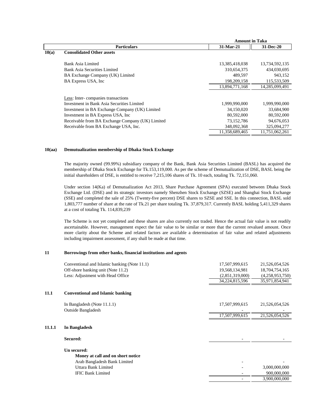|                                                  | <b>Amount in Taka</b> |                |
|--------------------------------------------------|-----------------------|----------------|
| <b>Particulars</b>                               | 31-Mar-21             | 31-Dec-20      |
| <b>Consolidated Other assets</b>                 |                       |                |
| Bank Asia Limited                                | 13,385,418,038        | 13,734,592,135 |
| Bank Asia Securities Limited                     | 310,654,375           | 434,030,695    |
| BA Exchange Company (UK) Limited                 | 489.597               | 943,152        |
| BA Express USA, Inc.                             | 198,209,158           | 115,533,509    |
|                                                  | 13,894,771,168        | 14,285,099,491 |
| Less: Inter-companies transactions               |                       |                |
| Investment in Bank Asia Securities Limited       | 1,999,990,000         | 1,999,990,000  |
| Investment in BA Exchange Company (UK) Limited   | 34,150,020            | 33.684.900     |
| Investment in BA Express USA, Inc.               | 80,592,000            | 80,592,000     |
| Receivable from BA Exchange Company (UK) Limited | 73,152,786            | 94,676,053     |
| Receivable from BA Exchange USA, Inc.            | 348,092,368           | 325,094,277    |
|                                                  | 11,358,689,465        | 11,751,062,261 |
|                                                  |                       |                |

#### **10(aa) Demutualization membership of Dhaka Stock Exchange**

The majority owned (99.99%) subsidiary company of the Bank, Bank Asia Securities Limited (BASL) has acquired the membership of Dhaka Stock Exchange for Tk.153,119,000. As per the scheme of Demutualization of DSE, BASL being the initial shareholders of DSE, is entitled to receive 7,215,106 shares of Tk. 10 each, totaling Tk. 72,151,060.

Under section 14(Ka) of Demutualization Act 2013, Share Purchase Agreement (SPA) executed between Dhaka Stock Exchange Ltd. (DSE) and its strategic investors namely Shenzhen Stock Exchange (SZSE) and Shanghai Stock Exchange (SSE) and completed the sale of 25% (Twenty-five percent) DSE shares to SZSE and SSE. In this connection, BASL sold 1,803,777 number of share at the rate of Tk.21 per share totaling Tk. 37,879,317. Currently BASL holding 5,411,329 shares at a cost of totaling Tk. 114,839,239

The Scheme is not yet completed and these shares are also currently not traded. Hence the actual fair value is not readily ascertainable. However, management expect the fair value to be similar or more that the current revalued amount. Once more clarity about the Scheme and related factors are available a determination of fair value and related adjustments including impairment assessment, if any shall be made at that time.

#### **11 Borrowings from other banks, financial institutions and agents**

|        | Conventional and Islamic banking (Note 11.1) | 17,507,999,615  | 21,526,054,526  |
|--------|----------------------------------------------|-----------------|-----------------|
|        | Off-shore banking unit (Note 11.2)           | 19,568,134,981  | 18,704,754,165  |
|        | Less: Adjustment with Head Office            | (2,851,319,000) | (4,258,953,750) |
|        |                                              |                 |                 |
|        |                                              | 34,224,815,596  | 35,971,854,941  |
|        |                                              |                 |                 |
| 11.1   | <b>Conventional and Islamic banking</b>      |                 |                 |
|        |                                              |                 |                 |
|        | In Bangladesh (Note 11.1.1)                  | 17,507,999,615  | 21,526,054,526  |
|        | <b>Outside Bangladesh</b>                    |                 |                 |
|        |                                              | 17,507,999,615  | 21,526,054,526  |
|        |                                              |                 |                 |
| 11.1.1 | In Bangladesh                                |                 |                 |
|        | Secured:                                     |                 |                 |
|        |                                              |                 |                 |
|        | Un secured:                                  |                 |                 |
|        | Money at call and on short notice            |                 |                 |
|        | Arab Bangladesh Bank Limited                 |                 |                 |
|        | Uttara Bank Limited                          |                 | 3,000,000,000   |
|        | <b>IFIC Bank Limited</b>                     |                 | 900,000,000     |
|        |                                              |                 |                 |
|        |                                              |                 | 3,900,000,000   |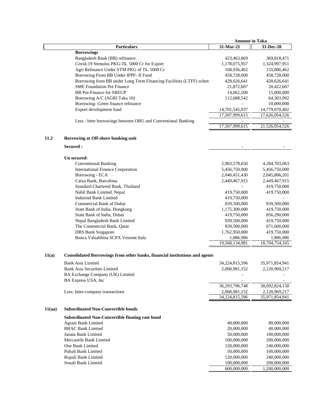|        |                                                                             | <b>Amount in Taka</b> |                |
|--------|-----------------------------------------------------------------------------|-----------------------|----------------|
|        | <b>Particulars</b>                                                          | 31-Mar-21             | 31-Dec-20      |
|        | <b>Borrowings</b>                                                           |                       |                |
|        | Bangladesh Bank (BB) refinance                                              | 423,463,869           | 369,818,471    |
|        | Covid-19 Stimulus PKG-Tk. 5000 Cr for Export                                | 1,178,075,957         | 1,324,997,951  |
|        | Agri Refinance Under STM PKG of Tk. 5000 Cr                                 | 168,936,462           | 155,086,462    |
|        | Borrowing From BB Under IPPF- II Fund                                       | 458,728,000           | 458,728,000    |
|        | Borrowing from BB under Long Term Financing Facilities (LTFF) schen         | 428,626,641           | 428,626,641    |
|        | <b>SME Foundation Pre Finance</b>                                           | 21,872,607            | 20,422,607     |
|        | <b>BB</b> Pre-Finance for SREUP                                             |                       | 15,000,000     |
|        |                                                                             | 14,062,500            |                |
|        | Borrowing A/C (AGRI Taka 10)                                                | 112,688,542           | 64,303,992     |
|        | Borrowing- Green finance refinance                                          |                       | 10,000,000     |
|        | Export development fund                                                     | 14,701,545,037        | 14,779,070,402 |
|        |                                                                             | 17,507,999,615        | 17,626,054,526 |
|        | Less: Inter borrowings between OBU and Conventional Banking                 | 17,507,999,615        | 21,526,054,526 |
|        |                                                                             |                       |                |
| 11.2   | Borrowing at Off-shore banking unit<br>Secured :                            |                       |                |
|        |                                                                             |                       |                |
|        | Un secured:                                                                 |                       |                |
|        | <b>Conventional Banking</b>                                                 | 2,903,578,650         | 4,284,703,063  |
|        | <b>International Finance Corporation</b>                                    | 5,456,750,000         | 5,456,750,000  |
|        | Borrowing - ECA                                                             | 2,040,451,430         | 2,045,806,201  |
|        | Caixa Bank, Barcelona                                                       | 2,449,467,915         | 2,449,467,915  |
|        | Standard Chartered Bank, Thailand                                           |                       | 419,750,000    |
|        | Nabil Bank Limited, Nepal                                                   | 419,750,000           | 419,750,000    |
|        | <b>Indusind Bank Limited</b>                                                | 419,750,000           |                |
|        | Commercial Bank of Dubai                                                    | 839,500,000           | 839,500,000    |
|        | State Bank of India, Hongkong                                               | 1,175,300,000         | 419,750,000    |
|        | State Bank of India, Dubai                                                  | 419,750,000           | 856,290,000    |
|        | Nepal Bangladesh Bank Limited                                               | 839,500,000           | 419,750,000    |
|        | The Commercial Bank, Qatar                                                  | 839,500,000           | 671,600,000    |
|        | <b>DBS</b> Bank Singapore                                                   | 1,762,950,000         | 419,750,000    |
|        | Banca Valsabbina SCPA Vestone Italy                                         | 1,886,986             | 1,886,986      |
|        |                                                                             | 19,568,134,981        | 18,704,754,165 |
|        |                                                                             |                       |                |
| 11(a)  | Consolidated Borrowings from other banks, financial institutions and agents |                       |                |
|        | <b>Bank Asia Limited</b>                                                    | 34,224,815,596        | 35,971,854,941 |
|        | <b>Bank Asia Securities Limited</b>                                         | 2,068,981,152         | 2,120,969,217  |
|        | BA Exchange Company (UK) Limited<br>BA Express USA, Inc                     |                       |                |
|        |                                                                             | 36, 293, 796, 748     | 38,092,824,158 |
|        | Less: Inter-company transactions                                            | 2,068,981,152         | 2,120,969,217  |
|        |                                                                             | 34.224.815.596        | 35,971,854,941 |
| 11(aa) | <b>Subordinated Non-Convertible bonds</b>                                   |                       |                |
|        | <b>Subordinated Non-Convertible floating rate bond</b>                      |                       |                |
|        | Agrani Bank Limited                                                         | 40,000,000            | 80,000,000     |
|        | <b>BRAC Bank Limited</b>                                                    | 20,000,000            |                |
|        | Janata Bank Limited                                                         |                       | 40,000,000     |
|        |                                                                             | 50,000,000            | 100,000,000    |
|        | Mercantile Bank Limited                                                     | 100,000,000           | 200,000,000    |
|        | One Bank Limited                                                            | 120,000,000           | 240,000,000    |
|        | Pubali Bank Limited                                                         | 50,000,000            | 100,000,000    |
|        | Rupali Bank Limited                                                         | 120,000,000           | 240,000,000    |
|        | Sonali Bank Limited                                                         | 100,000,000           | 200,000,000    |
|        |                                                                             | 600,000,000           | 1,200,000,000  |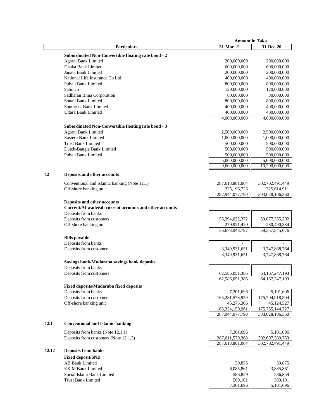|        |                                                                                       | <b>Amount in Taka</b> |                    |
|--------|---------------------------------------------------------------------------------------|-----------------------|--------------------|
|        | <b>Particulars</b>                                                                    | 31-Mar-21             | 31-Dec-20          |
|        | <b>Subordinated Non-Convertible floating rate bond - 2</b>                            |                       |                    |
|        | Agrani Bank Limited                                                                   | 200,000,000           | 200,000,000        |
|        | Dhaka Bank Limited                                                                    | 600,000,000           | 600,000,000        |
|        | Janata Bank Limited                                                                   | 200,000,000           | 200,000,000        |
|        | National Life Insurance Co Ltd.                                                       | 400,000,000           | 400,000,000        |
|        | Pubali Bank Limited                                                                   | 800,000,000           | 800,000,000        |
|        | Sabinco                                                                               | 120,000,000           | 120,000,000        |
|        | Sadharan Bima Corporation                                                             | 80,000,000            | 80,000,000         |
|        | Sonali Bank Limited                                                                   | 800,000,000           | 800,000,000        |
|        | <b>Southeast Bank Limited</b>                                                         | 400,000,000           | 400,000,000        |
|        | Uttara Bank Limited                                                                   | 400,000,000           | 400,000,000        |
|        |                                                                                       | 4,000,000,000         | 4,000,000,000      |
|        | <b>Subordinated Non-Convertible floating rate bond - 3</b>                            |                       |                    |
|        | Agrani Bank Limited                                                                   | 2,500,000,000         | 2,500,000,000      |
|        | Eastern Bank Limited                                                                  | 1,000,000,000         | 1,000,000,000      |
|        | <b>Trust Bank Limited</b>                                                             | 500,000,000           | 500,000,000        |
|        | Dutch-Bangla Bank Limited                                                             | 500,000,000           | 500,000,000        |
|        | Pubali Bank Limited                                                                   | 500,000,000           | 500,000,000        |
|        |                                                                                       | 5,000,000,000         | 5,000,000,000      |
|        |                                                                                       | 9,600,000,000         | 10,200,000,000     |
| 12     | <b>Deposits and other accounts</b>                                                    |                       |                    |
|        | Conventional and Islamic banking (Note 12.1)                                          | 287,618,881,064       | 302,702,491,449    |
|        | Off-shore banking unit                                                                | 325,196,726           | 325,614,911        |
|        |                                                                                       | 287,944,077,790       | 303,028,106,360    |
|        |                                                                                       |                       |                    |
|        | Deposits and other accounts<br>Current/Al-wadeeah current accounts and other accounts |                       |                    |
|        | Deposits from banks                                                                   |                       |                    |
|        | Deposits from customers                                                               | 56,394,022,372        | 59,077,355,292     |
|        | Off-shore banking unit                                                                | 279,921,420           | 280,490,384        |
|        |                                                                                       | 56,673,943,792        | 59, 357, 845, 676  |
|        | <b>Bills</b> payable                                                                  |                       |                    |
|        | Deposits from banks                                                                   |                       |                    |
|        | Deposits from customers                                                               | 3,349,931,651         | 3,747,868,764      |
|        |                                                                                       | 3,349,931,651         | 3,747,868,764      |
|        | Savings bank/Mudaraba savings bank deposits                                           |                       |                    |
|        | Deposits from banks                                                                   |                       |                    |
|        | Deposits from customers                                                               | 62,586,051,386        | 64, 167, 247, 193  |
|        |                                                                                       | 62,586,051,386        | 64, 167, 247, 193  |
|        | Fixed deposits/Mudaraba fixed deposits                                                |                       |                    |
|        | Deposits from banks                                                                   | 7,301,696             | 5,101,696          |
|        | Deposits from customers                                                               | 165,281,573,959       | 175,704,918,504    |
|        | Off-shore banking unit                                                                | 45,275,306            | 45,124,527         |
|        |                                                                                       | 165,334,150,961       | 175, 755, 144, 727 |
|        |                                                                                       | 287,944,077,790       | 303,028,106,360    |
|        |                                                                                       |                       |                    |
| 12.1   | <b>Conventional and Islamic banking</b>                                               |                       |                    |
|        | Deposits from banks (Note 12.1.1)                                                     | 7,301,696             | 5,101,696          |
|        | Deposits from customers (Note 12.1.2)                                                 | 287,611,579,368       | 302,697,389,753    |
|        |                                                                                       | 287,618,881,064       | 302,702,491,449    |
| 12.1.1 | <b>Deposits from banks</b>                                                            |                       |                    |
|        | <b>Fixed deposit/SND</b>                                                              |                       |                    |
|        | <b>AB Bank Limited</b>                                                                | 39,875                | 39,875             |
|        | <b>EXIM Bank Limited</b>                                                              | 6,085,861             | 3,885,861          |
|        | Social Islami Bank Limited                                                            | 586,859               | 586,859            |
|        | <b>Trust Bank Limited</b>                                                             | 589,101               | 589,101            |
|        |                                                                                       | 7,301,696             | 5,101,696          |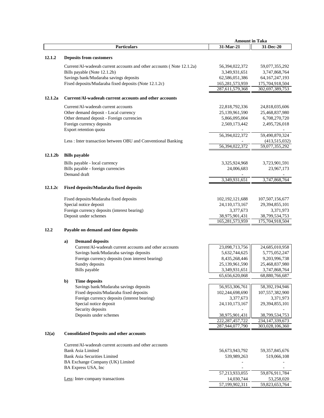|                     |                                                                                        | <b>Amount in Taka</b> |                    |
|---------------------|----------------------------------------------------------------------------------------|-----------------------|--------------------|
|                     | <b>Particulars</b>                                                                     | 31-Mar-21             | 31-Dec-20          |
| 12.1.2              | <b>Deposits from customers</b>                                                         |                       |                    |
|                     | Current/Al-wadeeah current accounts and other accounts (Note 12.1.2a)                  | 56,394,022,372        | 59,077,355,292     |
|                     | Bills payable (Note 12.1.2b)                                                           | 3,349,931,651         | 3,747,868,764      |
|                     | Savings bank/Mudaraba savings deposits                                                 |                       |                    |
|                     |                                                                                        | 62,586,051,386        | 64, 167, 247, 193  |
|                     | Fixed deposits/Mudaraba fixed deposits (Note 12.1.2c)                                  | 165,281,573,959       | 175,704,918,504    |
|                     |                                                                                        | 287,611,579,368       | 302,697,389,753    |
| 12.1.2a             | Current/Al-wadeeah current accounts and other accounts                                 |                       |                    |
|                     | Current/Al-wadeeah current accounts                                                    | 22,818,792,336        | 24,818,035,606     |
|                     | Other demand deposit - Local currency                                                  | 25,139,961,590        | 25,468,837,980     |
|                     | Other demand deposit - Foreign currencies                                              | 5,866,095,004         | 6,708,270,720      |
|                     | Foreign currency deposits                                                              | 2,569,173,442         | 2,495,726,018      |
|                     | Export retention quota                                                                 |                       |                    |
|                     |                                                                                        | 56,394,022,372        | 59,490,870,324     |
|                     | Less: Inter transaction between OBU and Conventional Banking                           |                       | (413,515,032)      |
|                     |                                                                                        | 56,394,022,372        | 59,077,355,292     |
| 12.1.2 <sub>b</sub> | <b>Bills</b> payable                                                                   |                       |                    |
|                     | Bills payable - local currency                                                         | 3,325,924,968         | 3,723,901,591      |
|                     | Bills payable - foreign currencies                                                     | 24,006,683            | 23,967,173         |
|                     | Demand draft                                                                           |                       |                    |
|                     |                                                                                        | 3,349,931,651         | 3,747,868,764      |
| 12.1.2c             | <b>Fixed deposits/Mudaraba fixed deposits</b>                                          |                       |                    |
|                     | Fixed deposits/Mudaraba fixed deposits                                                 | 102, 192, 121, 688    | 107,507,156,677    |
|                     | Special notice deposit                                                                 | 24,110,173,167        | 29,394,855,101     |
|                     | Foreign currency deposits (interest bearing)                                           | 3,377,673             | 3,371,973          |
|                     | Deposit under schemes                                                                  | 38,975,901,431        | 38,799,534,753     |
|                     |                                                                                        | 165,281,573,959       | 175,704,918,504    |
| 12.2                | Payable on demand and time deposits                                                    |                       |                    |
|                     |                                                                                        |                       |                    |
|                     | <b>Demand deposits</b><br>a)<br>Current/Al-wadeeah current accounts and other accounts |                       |                    |
|                     |                                                                                        | 23,098,713,756        | 24,685,010,958     |
|                     | Savings bank/Mudaraba savings deposits                                                 | 5,632,744,625         | 5,775,052,247      |
|                     | Foreign currency deposits (non interest bearing)                                       | 8,435,268,446         | 9,203,996,738      |
|                     | Sundry deposits                                                                        | 25,139,961,590        | 25,468,837,980     |
|                     | Bills payable                                                                          | 3,349,931,651         | 3,747,868,764      |
|                     |                                                                                        | 65,656,620,068        | 68,880,766,687     |
|                     | $b$<br><b>Time deposits</b>                                                            |                       |                    |
|                     | Savings bank/Mudaraba savings deposits                                                 | 56,953,306,761        | 58, 392, 194, 946  |
|                     | Fixed deposits/Mudaraba fixed deposits                                                 | 102,244,698,690       | 107,557,382,900    |
|                     | Foreign currency deposits (interest bearing)                                           | 3,377,673             | 3,371,973          |
|                     | Special notice deposit                                                                 | 24,110,173,167        | 29,394,855,101     |
|                     | Security deposits                                                                      |                       |                    |
|                     | Deposits under schemes                                                                 | 38,975,901,431        | 38,799,534,753     |
|                     |                                                                                        | 222, 287, 457, 722    | 234, 147, 339, 673 |
|                     |                                                                                        | 287,944,077,790       | 303,028,106,360    |
| 12(a)               | <b>Consolidated Deposits and other accounts</b>                                        |                       |                    |
|                     | Current/Al-wadeeah current accounts and other accounts                                 |                       |                    |
|                     | <b>Bank Asia Limited</b>                                                               | 56,673,943,792        | 59, 357, 845, 676  |
|                     | <b>Bank Asia Securities Limited</b>                                                    | 539,989,263           | 519,066,108        |
|                     | BA Exchange Company (UK) Limited                                                       |                       |                    |
|                     | BA Express USA, Inc                                                                    |                       |                    |
|                     |                                                                                        | 57,213,933,055        | 59,876,911,784     |
|                     | Less: Inter-company transactions                                                       | 14,030,744            | 53,258,020         |
|                     |                                                                                        | 57,199,902,311        | 59,823,653,764     |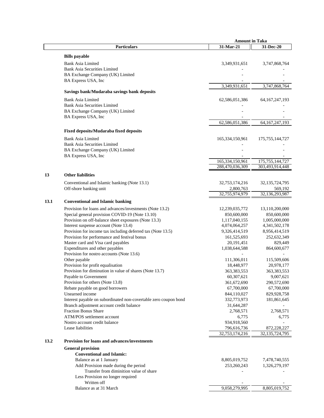|      |                                                                                               | <b>Amount in Taka</b>              |                                   |
|------|-----------------------------------------------------------------------------------------------|------------------------------------|-----------------------------------|
|      | <b>Particulars</b>                                                                            | 31-Mar-21                          | 31-Dec-20                         |
|      | <b>Bills</b> payable                                                                          |                                    |                                   |
|      | <b>Bank Asia Limited</b>                                                                      | 3,349,931,651                      | 3,747,868,764                     |
|      | <b>Bank Asia Securities Limited</b>                                                           |                                    |                                   |
|      | BA Exchange Company (UK) Limited                                                              |                                    |                                   |
|      | BA Express USA, Inc                                                                           |                                    |                                   |
|      |                                                                                               | 3,349,931,651                      | 3,747,868,764                     |
|      | Savings bank/Mudaraba savings bank deposits                                                   |                                    |                                   |
|      | <b>Bank Asia Limited</b>                                                                      | 62,586,051,386                     | 64, 167, 247, 193                 |
|      | <b>Bank Asia Securities Limited</b>                                                           |                                    |                                   |
|      | BA Exchange Company (UK) Limited                                                              |                                    |                                   |
|      | BA Express USA, Inc                                                                           | 62,586,051,386                     | 64, 167, 247, 193                 |
|      |                                                                                               |                                    |                                   |
|      | <b>Fixed deposits/Mudaraba fixed deposits</b>                                                 |                                    |                                   |
|      | <b>Bank Asia Limited</b>                                                                      | 165, 334, 150, 961                 | 175, 755, 144, 727                |
|      | <b>Bank Asia Securities Limited</b>                                                           |                                    |                                   |
|      | BA Exchange Company (UK) Limited                                                              |                                    |                                   |
|      | BA Express USA, Inc                                                                           |                                    | 175, 755, 144, 727                |
|      |                                                                                               | 165,334,150,961<br>288,470,036,309 | 303,493,914,448                   |
|      |                                                                                               |                                    |                                   |
| 13   | <b>Other liabilities</b>                                                                      |                                    |                                   |
|      | Conventional and Islamic banking (Note 13.1)                                                  | 32,753,174,216                     | 32, 135, 724, 795                 |
|      | Off-shore banking unit                                                                        | 2,800,763<br>32,755,974,979        | 569,192<br>32,136,293,987         |
|      |                                                                                               |                                    |                                   |
| 13.1 | <b>Conventional and Islamic banking</b>                                                       |                                    |                                   |
|      | Provision for loans and advances/investments (Note 13.2)                                      | 12,239,035,772                     | 13,110,200,000                    |
|      | Special general provision COVID-19 (Note 13.10)                                               | 850,600,000                        | 850,600,000                       |
|      | Provision on off-balance sheet exposures (Note 13.3)<br>Interest suspense account (Note 13.4) | 1,117,040,155<br>4,074,064,257     | 1,005,000,000<br>4, 341, 502, 178 |
|      | Provision for income tax including deferred tax (Note 13.5)                                   | 9,326,414,519                      | 8,956,414,519                     |
|      | Provision for performance and festival bonus                                                  | 161,525,693                        | 252,632,349                       |
|      | Master card and Visa card payables                                                            | 20,191,451                         | 829,449                           |
|      | Expenditures and other payables                                                               | 1,038,644,588                      | 864,600,677                       |
|      | Provision for nostro accounts (Note 13.6)                                                     |                                    |                                   |
|      | Other payable                                                                                 | 111,306,011                        | 115,509,606                       |
|      | Provision for profit equalisation<br>Provision for diminution in value of shares (Note 13.7)  | 18,448,977<br>363,383,553          | 20,978,177<br>363,383,553         |
|      | Payable to Government                                                                         | 60,307,621                         | 9,007,621                         |
|      | Provision for others (Note 13.8)                                                              | 361,672,690                        | 290,572,690                       |
|      | Rebate payable on good borrowers                                                              | 67,700,000                         | 67,700,000                        |
|      | Unearned income                                                                               | 844,110,027                        | 829,928,758                       |
|      | Interest payable on subordinated non-covertable zero coupon bond                              | 332,773,973                        | 181,861,645                       |
|      | Branch adjustment account credit balance                                                      | 31,644,287                         |                                   |
|      | <b>Fraction Bonus Share</b>                                                                   | 2,768,571                          | 2,768,571                         |
|      | ATM/POS settlement account<br>Nostro account credit balance                                   | 6,775                              | 6,775                             |
|      | Lease liabilities                                                                             | 934,918,560<br>796,616,736         | 872,228,227                       |
|      |                                                                                               | 32,753,174,216                     | 32,135,724,795                    |
| 13.2 | <b>Provision for loans and advances/investments</b>                                           |                                    |                                   |
|      | <b>General provision</b>                                                                      |                                    |                                   |
|      | <b>Conventional and Islamic:</b>                                                              |                                    |                                   |
|      | Balance as at 1 January                                                                       | 8,805,019,752                      | 7,478,740,555                     |
|      | Add Provision made during the period                                                          | 253,260,243                        | 1,326,279,197                     |
|      | Transfer from diminition value of share                                                       |                                    |                                   |
|      | Less Provision no longer required                                                             |                                    |                                   |
|      | Written off                                                                                   |                                    |                                   |
|      | Balance as at 31 March                                                                        | 9,058,279,995                      | 8,805,019,752                     |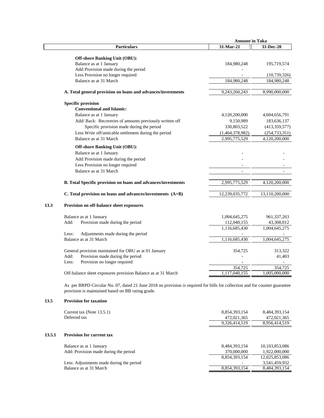|                                                               | <b>Amount in Taka</b> |                 |  |
|---------------------------------------------------------------|-----------------------|-----------------|--|
| <b>Particulars</b>                                            | 31-Mar-21             | 31-Dec-20       |  |
|                                                               |                       |                 |  |
| <b>Off-shore Banking Unit (OBU):</b>                          |                       |                 |  |
| Balance as at 1 January                                       | 184,980,248           | 195,719,574     |  |
| Add: Provision made during the period                         |                       |                 |  |
| Less Provision no longer required                             |                       | (10,739,326)    |  |
| Balance as at 31 March                                        | 184,980,248           | 184,980,248     |  |
| A. Total general provision on loans and advances/investments  | 9,243,260,243         | 8,990,000,000   |  |
| <b>Specific provision</b>                                     |                       |                 |  |
| <b>Conventional and Islamic:</b>                              |                       |                 |  |
| Balance as at 1 January                                       | 4,120,200,000         | 4,604,656,791   |  |
| Add/ Back: Recoveries of amounts previously written off       | 9,150,989             | 183,636,137     |  |
| Specific provision made during the period                     | 330,803,522           | (413, 359, 577) |  |
| Less Write off/amicable settlement during the period          | (1,464,378,982)       | (254, 733, 351) |  |
| Balance as at 31 March                                        | 2,995,775,529         | 4,120,200,000   |  |
|                                                               |                       |                 |  |
| <b>Off-shore Banking Unit (OBU):</b>                          |                       |                 |  |
| Balance as at 1 January                                       |                       |                 |  |
| Add: Provision made during the period                         |                       |                 |  |
| Less Provision no longer required                             |                       |                 |  |
| Balance as at 31 March                                        |                       |                 |  |
| B. Total Specific provision on loans and advances/investments | 2,995,775,529         | 4,120,200,000   |  |
| C. Total provision on loans and advances/investments (A+B)    | 12,239,035,772        | 13,110,200,000  |  |
| 13.3<br>Provision on off-balance sheet exposures              |                       |                 |  |
| Balance as at 1 January                                       | 1,004,645,275         | 961, 337, 263   |  |
| Provision made during the period<br>Add:                      | 112,040,155           | 43,308,012      |  |
|                                                               | 1,116,685,430         | 1,004,645,275   |  |
| Less:<br>Adjustments made during the period                   |                       |                 |  |
| Balance as at 31 March                                        | 1,116,685,430         | 1,004,645,275   |  |
|                                                               |                       |                 |  |
| General provision maintained for OBU as at 01 January         | 354,725               | 313,322         |  |
| Provision made during the period<br>Add:                      |                       | 41,403          |  |
| Provision no longer required<br>Less:                         |                       |                 |  |
|                                                               | 354,725               | 354,725         |  |
| Off-balance sheet exposures provision Balance as at 31 March  | 1,117,040,155         | 1,005,000,000   |  |
|                                                               |                       |                 |  |

As per BRPD Circular No. 07, dated 21 June 2018 no provision is required for bills for collection and for counter guarantee provision is maintained based on BB rating grade.

# **13.5 Provision for taxation**

|        | Current tax (Note 13.5.1)<br>Deferred tax                          | 8,854,393,154<br>472,021,365<br>9,326,414,519 | 8,484,393,154<br>472,021,365<br>8,956,414,519 |
|--------|--------------------------------------------------------------------|-----------------------------------------------|-----------------------------------------------|
| 13.5.1 | <b>Provision for current tax</b>                                   |                                               |                                               |
|        | Balance as at 1 January                                            | 8,484,393,154                                 | 10,103,853,086                                |
|        | Add: Provision made during the period                              | 370,000,000<br>8.854.393.154                  | 1,922,000,000<br>12,025,853,086               |
|        | Less: Adjustments made during the period<br>Balance as at 31 March | 8,854,393,154                                 | 3,541,459,932<br>8,484,393,154                |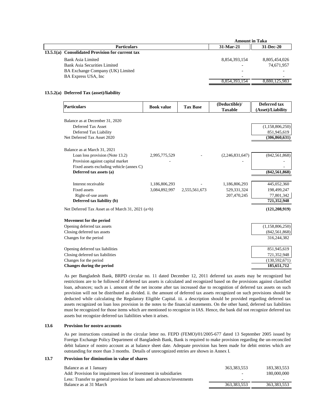|                                                  | <b>Amount in Taka</b> |               |
|--------------------------------------------------|-----------------------|---------------|
| <b>Particulars</b>                               | 31-Mar-21             | 31-Dec-20     |
| 13.5.1(a) Consolidated Provision for current tax |                       |               |
| Bank Asia Limited                                | 8,854,393,154         | 8,805,454,026 |
| Bank Asia Securities Limited                     |                       | 74,671,957    |
| BA Exchange Company (UK) Limited                 |                       |               |
| BA Express USA, Inc.                             |                       | -             |
|                                                  | 8.854.393.154         | 8,880,125,983 |

#### **13.5.2(a) Deferred Tax (asset)/liability**

| Particulars                                       | <b>Book value</b> | <b>Tax Base</b> | (Deductible)/<br><b>Taxable</b> | <b>Deferred tax</b><br>(Asset)/Liability |
|---------------------------------------------------|-------------------|-----------------|---------------------------------|------------------------------------------|
| Balance as at December 31, 2020                   |                   |                 |                                 |                                          |
| Deferred Tax Asset                                |                   |                 |                                 | (1,158,806,250)                          |
| Deferred Tax Liability                            |                   |                 |                                 | 851,945,619                              |
| Net Deferred Tax Asset 2020                       |                   |                 |                                 | (306, 860, 631)                          |
| Balance as at March 31, 2021                      |                   |                 |                                 |                                          |
| Loan loss provision (Note 13.2)                   | 2,995,775,529     |                 | (2,246,831,647)                 | (842, 561, 868)                          |
| Provision against capital market                  |                   |                 |                                 |                                          |
| Fixed assets excluding vehicle (annex C)          |                   |                 |                                 |                                          |
| Deferred tax assets (a)                           |                   |                 |                                 | (842, 561, 868)                          |
| Interest receivable                               | 1,186,806,293     |                 | 1,186,806,293                   | 445,052,360                              |
| <b>Fixed assets</b>                               | 3,084,892,997     | 2,555,561,673   | 529,331,324                     | 198,499,247                              |
| Right-of-use assets                               |                   |                 | 207,470,245                     | 77,801,342                               |
| Deferred tax liability (b)                        |                   |                 |                                 | 721,352,948                              |
| Net Deferred Tax Asset as of March 31, 2021 (a+b) |                   |                 |                                 | (121, 208, 919)                          |
| Movement for the period                           |                   |                 |                                 |                                          |
| Opening deferred tax assets                       |                   |                 |                                 | (1,158,806,250)                          |
| Closing deferred tax assets                       |                   |                 |                                 | (842, 561, 868)                          |
| Changes for the period                            |                   |                 |                                 | 316,244,382                              |
| Opening deferred tax liabilities                  |                   |                 |                                 | 851,945,619                              |
| Closing deferred tax liabilities                  |                   |                 |                                 | 721,352,948                              |
| Changes for the period                            |                   |                 |                                 | (130, 592, 671)                          |
| <b>Changes during the period</b>                  |                   |                 |                                 | 185,651,712                              |

As per Bangladesh Bank, BRPD circular no. 11 dated December 12, 2011 deferred tax assets may be recognized but restrictions are to be followed if deferred tax assets is calculated and recognized based on the provisions against classified loan, advances; such as i. amount of the net income after tax increased due to recognition of deferred tax assets on such provision will not be distributed as divided. ii. the amount of deferred tax assets recognized on such provisions should be deducted while calculating the Regulatory Eligible Capital. iii. a description should be provided regarding deferred tax assets recognized on loan loss provision in the notes to the financial statements. On the other hand, deferred tax liabilities must be recognized for those items which are mentioned to recognize in IAS. Hence, the bank did not recognize deferred tax assets but recognize deferred tax liabilities when it arises.

#### **13.6 Provision for nostro accounts**

As per instructions contained in the circular letter no. FEPD (FEMO)/01/2005-677 dated 13 September 2005 issued by Foreign Exchange Policy Department of Bangladesh Bank, Bank is required to make provision regarding the un-reconciled debit balance of nostro account as at balance sheet date. Adequate provision has been made for debit entries which are outstanding for more than 3 months. Details of unrecognized entries are shown in Annex I.

#### **13.7 Provision for diminution in value of shares**

| Balance as at 1 January                                                | 363.383.553              | 183.383.553 |
|------------------------------------------------------------------------|--------------------------|-------------|
| Add: Provision for impairment loss of investment in subsidiaries       | $\overline{\phantom{0}}$ | 180,000,000 |
| Less: Transfer to general provision for loans and advances/investments | -                        | -           |
| Balance as at 31 March                                                 | 363, 383, 553            | 363.383.553 |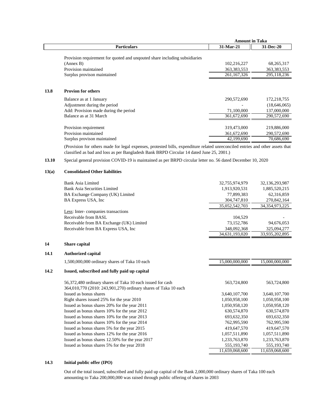|                                                                            |               | <b>Amount in Taka</b> |
|----------------------------------------------------------------------------|---------------|-----------------------|
| <b>Particulars</b>                                                         | 31-Mar-21     | 31-Dec-20             |
|                                                                            |               |                       |
| Provision requirement for quoted and unquoted share including subsidiaries |               |                       |
| (Annex B)                                                                  | 102,216,227   | 68,265,317            |
| Provision maintained                                                       | 363, 383, 553 | 363, 383, 553         |
| Surplus provison maintained                                                | 261, 167, 326 | 295,118,236           |
|                                                                            |               |                       |
| 13.8<br><b>Provion for others</b>                                          |               |                       |
| Balance as at 1 January                                                    | 290,572,690   | 172,218,755           |
| Adjustment during the period                                               |               | (18,646,065)          |
| Add: Provision made during the period                                      | 71,100,000    | 137,000,000           |
| Balance as at 31 March                                                     | 361,672,690   | 290,572,690           |
|                                                                            |               |                       |
| Provision requirement                                                      | 319,473,000   | 219,886,000           |
| Provision maintained                                                       | 361,672,690   | 290,572,690           |
| Surplus provison maintained                                                | 42,199,690    | 70,686,690            |

(Provision for others made for legal expenses, protested bills, expenditure related unreconciled entries and other assets that classified as bad and loss as per Bangladesh Bank BRPD Circular 14 dated June 25, 2001.)

**13.10** Special general provision COVID-19 is maintained as per BRPD circular letter no. 56 dated December 10, 2020

#### **13(a) Consolidated Other liabilities**

|      | <b>Bank Asia Limited</b>                                        | 32,755,974,979 | 32,136,293,987    |
|------|-----------------------------------------------------------------|----------------|-------------------|
|      | Bank Asia Securities Limited                                    | 1,913,920,531  | 1,885,520,215     |
|      | BA Exchange Company (UK) Limited                                | 77,899,383     | 62,316,859        |
|      | BA Express USA, Inc                                             | 304,747,810    | 270,842,164       |
|      |                                                                 | 35,052,542,703 | 34, 354, 973, 225 |
|      | Less: Inter-companies transactions                              |                |                   |
|      | Receivable from BASL                                            | 104,529        |                   |
|      | Receivable from BA Exchange (UK) Limited                        | 73,152,786     | 94,676,053        |
|      | Receivable from BA Express USA, Inc                             | 348,092,368    | 325,094,277       |
|      |                                                                 | 34,631,193,020 | 33,935,202,895    |
| 14   | Share capital                                                   |                |                   |
|      |                                                                 |                |                   |
| 14.1 | <b>Authorized capital</b>                                       |                |                   |
|      | 1,500,000,000 ordinary shares of Taka 10 each                   | 15,000,000,000 | 15,000,000,000    |
| 14.2 | Issued, subscribed and fully paid up capital                    |                |                   |
|      | 56,372,480 ordinary shares of Taka 10 each issued for cash      | 563,724,800    | 563,724,800       |
|      | 364,010,770 (2010: 243,901,270) ordinary shares of Taka 10 each |                |                   |
|      | Issued as bonus shares                                          | 3,640,107,700  | 3,640,107,700     |
|      | Right shares issued 25% for the year 2010                       | 1,050,958,100  | 1,050,958,100     |
|      | Issued as bonus shares 20% for the year 2011                    | 1,050,958,120  | 1,050,958,120     |
|      | Issued as bonus shares 10% for the year 2012                    | 630,574,870    | 630,574,870       |
|      | Issued as bonus shares 10% for the year 2013                    | 693,632,350    | 693,632,350       |
|      | Issued as bonus shares 10% for the year 2014                    | 762,995,590    | 762,995,590       |
|      | Issued as bonus shares 5% for the year 2015                     | 419,647,570    | 419,647,570       |
|      | Issued as bonus shares 12% for the year 2016                    | 1,057,511,890  | 1,057,511,890     |
|      | Issued as bonus shares 12.50% for the year 2017                 | 1,233,763,870  | 1,233,763,870     |
|      | Issued as bonus shares 5% for the year 2018                     | 555,193,740    | 555,193,740       |
|      |                                                                 | 11,659,068,600 | 11,659,068,600    |

#### **14.3 Initial public offer (IPO)**

Out of the total issued, subscribed and fully paid up capital of the Bank 2,000,000 ordinary shares of Taka 100 each amounting to Taka 200,000,000 was raised through public offering of shares in 2003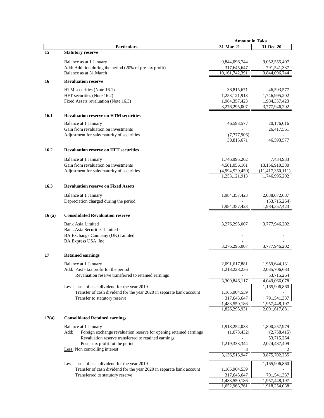| 31-Mar-21<br><b>Particulars</b><br>31-Dec-20<br>15<br><b>Statutory reserve</b><br>Balance as at 1 January<br>9,844,096,744<br>9,052,555,407<br>Add: Addition during the period (20% of pre-tax profit)<br>317,645,647<br>791,541,337<br>Balance as at 31 March<br>10,161,742,391<br>9,844,096,744<br><b>Revaluation reserve</b><br>16<br>HTM securities (Note 16.1)<br>38,815,671<br>46,593,577<br>HFT securities (Note 16.2)<br>1,253,121,913<br>1,746,995,202<br>Fixed Assets revaluation (Note 16.3)<br>1,984,357,423<br>1,984,357,423<br>3,276,295,007<br>3,777,946,202<br>16.1<br><b>Revaluation reserve on HTM securities</b><br>Balance at 1 January<br>46,593,577<br>20,176,016<br>Gain from revaluation on investments<br>26,417,561<br>Adjustment for sale/maturity of securities<br>(7,777,906)<br>38,815,671<br>46,593,577<br><b>Revaluation reserve on HFT securities</b><br>16.2<br>1,746,995,202<br>7,434,933<br>Balance at 1 January<br>Gain from revaluation on investments<br>4,501,056,161<br>13,156,910,380<br>Adjustment for sale/maturity of securities<br>(4,994,929,450)<br>(11, 417, 350, 111)<br>1,253,121,913<br>1,746,995,202<br>16.3<br><b>Revaluation reserve on Fixed Assets</b><br>Balance at 1 January<br>1,984,357,423<br>2,038,072,687<br>Depreciation charged during the period<br>(53,715,264)<br>1,984,357,423<br>1,984,357,423<br><b>Consolidated Revaluation reserve</b><br>16(a)<br><b>Bank Asia Limited</b><br>3,276,295,007<br>3,777,946,202<br><b>Bank Asia Securities Limited</b><br>BA Exchange Company (UK) Limited<br>BA Express USA, Inc<br>3,276,295,007<br>3,777,946,202<br>17<br><b>Retained earnings</b><br>Balance at 1 January<br>2,091,617,881<br>1,959,644,131<br>Add: Post - tax profit fot the period<br>1,218,228,236<br>2,035,706,683<br>Revaluation reserve transferred to retained earnings<br>53,715,264<br>3,309,846,117<br>4,049,066,078<br>1,165,906,860<br>Less: Issue of cash dividend for the year 2019<br>Transfer of cash dividend for the year 2020 in separate bank account<br>1,165,904,539<br>317,645,647<br>Transfer to statutory reserve<br>791,541,337<br>1,483,550,186<br>1,957,448,197<br>1,826,295,931<br>2,091,617,881<br>17(a)<br><b>Consolidated Retained earnings</b><br>Balance at 1 January<br>1,918,254,038<br>1,800,257,979<br>Add:<br>Foreign exchange revaluation reserve for opening retained earnings<br>(1,073,432)<br>(2,758,415)<br>Revaluation reserve transferred to retained earnings<br>53,715,264<br>Post - tax profit fot the period<br>1,219,333,344<br>2,024,487,409<br>Less: Non controlling interest<br>3<br>3,136,513,947<br>3,875,702,235<br>Less: Issue of cash dividend for the year 2019<br>1,165,906,860<br>Transfer of cash dividend for the year 2020 in separate bank account<br>1,165,904,539<br>317,645,647<br>791,541,337<br>Transferred to statutory reserve<br>1,483,550,186<br>1,957,448,197 |  | <b>Amount in Taka</b> |               |
|------------------------------------------------------------------------------------------------------------------------------------------------------------------------------------------------------------------------------------------------------------------------------------------------------------------------------------------------------------------------------------------------------------------------------------------------------------------------------------------------------------------------------------------------------------------------------------------------------------------------------------------------------------------------------------------------------------------------------------------------------------------------------------------------------------------------------------------------------------------------------------------------------------------------------------------------------------------------------------------------------------------------------------------------------------------------------------------------------------------------------------------------------------------------------------------------------------------------------------------------------------------------------------------------------------------------------------------------------------------------------------------------------------------------------------------------------------------------------------------------------------------------------------------------------------------------------------------------------------------------------------------------------------------------------------------------------------------------------------------------------------------------------------------------------------------------------------------------------------------------------------------------------------------------------------------------------------------------------------------------------------------------------------------------------------------------------------------------------------------------------------------------------------------------------------------------------------------------------------------------------------------------------------------------------------------------------------------------------------------------------------------------------------------------------------------------------------------------------------------------------------------------------------------------------------------------------------------------------------------------------------------------------------------------------------------------------------------------------------------------------------------------------------------------------------------------------------------------------------------------------------------------------------------------|--|-----------------------|---------------|
|                                                                                                                                                                                                                                                                                                                                                                                                                                                                                                                                                                                                                                                                                                                                                                                                                                                                                                                                                                                                                                                                                                                                                                                                                                                                                                                                                                                                                                                                                                                                                                                                                                                                                                                                                                                                                                                                                                                                                                                                                                                                                                                                                                                                                                                                                                                                                                                                                                                                                                                                                                                                                                                                                                                                                                                                                                                                                                                        |  |                       |               |
|                                                                                                                                                                                                                                                                                                                                                                                                                                                                                                                                                                                                                                                                                                                                                                                                                                                                                                                                                                                                                                                                                                                                                                                                                                                                                                                                                                                                                                                                                                                                                                                                                                                                                                                                                                                                                                                                                                                                                                                                                                                                                                                                                                                                                                                                                                                                                                                                                                                                                                                                                                                                                                                                                                                                                                                                                                                                                                                        |  |                       |               |
|                                                                                                                                                                                                                                                                                                                                                                                                                                                                                                                                                                                                                                                                                                                                                                                                                                                                                                                                                                                                                                                                                                                                                                                                                                                                                                                                                                                                                                                                                                                                                                                                                                                                                                                                                                                                                                                                                                                                                                                                                                                                                                                                                                                                                                                                                                                                                                                                                                                                                                                                                                                                                                                                                                                                                                                                                                                                                                                        |  |                       |               |
|                                                                                                                                                                                                                                                                                                                                                                                                                                                                                                                                                                                                                                                                                                                                                                                                                                                                                                                                                                                                                                                                                                                                                                                                                                                                                                                                                                                                                                                                                                                                                                                                                                                                                                                                                                                                                                                                                                                                                                                                                                                                                                                                                                                                                                                                                                                                                                                                                                                                                                                                                                                                                                                                                                                                                                                                                                                                                                                        |  |                       |               |
|                                                                                                                                                                                                                                                                                                                                                                                                                                                                                                                                                                                                                                                                                                                                                                                                                                                                                                                                                                                                                                                                                                                                                                                                                                                                                                                                                                                                                                                                                                                                                                                                                                                                                                                                                                                                                                                                                                                                                                                                                                                                                                                                                                                                                                                                                                                                                                                                                                                                                                                                                                                                                                                                                                                                                                                                                                                                                                                        |  |                       |               |
|                                                                                                                                                                                                                                                                                                                                                                                                                                                                                                                                                                                                                                                                                                                                                                                                                                                                                                                                                                                                                                                                                                                                                                                                                                                                                                                                                                                                                                                                                                                                                                                                                                                                                                                                                                                                                                                                                                                                                                                                                                                                                                                                                                                                                                                                                                                                                                                                                                                                                                                                                                                                                                                                                                                                                                                                                                                                                                                        |  |                       |               |
|                                                                                                                                                                                                                                                                                                                                                                                                                                                                                                                                                                                                                                                                                                                                                                                                                                                                                                                                                                                                                                                                                                                                                                                                                                                                                                                                                                                                                                                                                                                                                                                                                                                                                                                                                                                                                                                                                                                                                                                                                                                                                                                                                                                                                                                                                                                                                                                                                                                                                                                                                                                                                                                                                                                                                                                                                                                                                                                        |  |                       |               |
|                                                                                                                                                                                                                                                                                                                                                                                                                                                                                                                                                                                                                                                                                                                                                                                                                                                                                                                                                                                                                                                                                                                                                                                                                                                                                                                                                                                                                                                                                                                                                                                                                                                                                                                                                                                                                                                                                                                                                                                                                                                                                                                                                                                                                                                                                                                                                                                                                                                                                                                                                                                                                                                                                                                                                                                                                                                                                                                        |  |                       |               |
|                                                                                                                                                                                                                                                                                                                                                                                                                                                                                                                                                                                                                                                                                                                                                                                                                                                                                                                                                                                                                                                                                                                                                                                                                                                                                                                                                                                                                                                                                                                                                                                                                                                                                                                                                                                                                                                                                                                                                                                                                                                                                                                                                                                                                                                                                                                                                                                                                                                                                                                                                                                                                                                                                                                                                                                                                                                                                                                        |  |                       |               |
|                                                                                                                                                                                                                                                                                                                                                                                                                                                                                                                                                                                                                                                                                                                                                                                                                                                                                                                                                                                                                                                                                                                                                                                                                                                                                                                                                                                                                                                                                                                                                                                                                                                                                                                                                                                                                                                                                                                                                                                                                                                                                                                                                                                                                                                                                                                                                                                                                                                                                                                                                                                                                                                                                                                                                                                                                                                                                                                        |  |                       |               |
|                                                                                                                                                                                                                                                                                                                                                                                                                                                                                                                                                                                                                                                                                                                                                                                                                                                                                                                                                                                                                                                                                                                                                                                                                                                                                                                                                                                                                                                                                                                                                                                                                                                                                                                                                                                                                                                                                                                                                                                                                                                                                                                                                                                                                                                                                                                                                                                                                                                                                                                                                                                                                                                                                                                                                                                                                                                                                                                        |  |                       |               |
|                                                                                                                                                                                                                                                                                                                                                                                                                                                                                                                                                                                                                                                                                                                                                                                                                                                                                                                                                                                                                                                                                                                                                                                                                                                                                                                                                                                                                                                                                                                                                                                                                                                                                                                                                                                                                                                                                                                                                                                                                                                                                                                                                                                                                                                                                                                                                                                                                                                                                                                                                                                                                                                                                                                                                                                                                                                                                                                        |  |                       |               |
|                                                                                                                                                                                                                                                                                                                                                                                                                                                                                                                                                                                                                                                                                                                                                                                                                                                                                                                                                                                                                                                                                                                                                                                                                                                                                                                                                                                                                                                                                                                                                                                                                                                                                                                                                                                                                                                                                                                                                                                                                                                                                                                                                                                                                                                                                                                                                                                                                                                                                                                                                                                                                                                                                                                                                                                                                                                                                                                        |  |                       |               |
|                                                                                                                                                                                                                                                                                                                                                                                                                                                                                                                                                                                                                                                                                                                                                                                                                                                                                                                                                                                                                                                                                                                                                                                                                                                                                                                                                                                                                                                                                                                                                                                                                                                                                                                                                                                                                                                                                                                                                                                                                                                                                                                                                                                                                                                                                                                                                                                                                                                                                                                                                                                                                                                                                                                                                                                                                                                                                                                        |  |                       |               |
|                                                                                                                                                                                                                                                                                                                                                                                                                                                                                                                                                                                                                                                                                                                                                                                                                                                                                                                                                                                                                                                                                                                                                                                                                                                                                                                                                                                                                                                                                                                                                                                                                                                                                                                                                                                                                                                                                                                                                                                                                                                                                                                                                                                                                                                                                                                                                                                                                                                                                                                                                                                                                                                                                                                                                                                                                                                                                                                        |  |                       |               |
|                                                                                                                                                                                                                                                                                                                                                                                                                                                                                                                                                                                                                                                                                                                                                                                                                                                                                                                                                                                                                                                                                                                                                                                                                                                                                                                                                                                                                                                                                                                                                                                                                                                                                                                                                                                                                                                                                                                                                                                                                                                                                                                                                                                                                                                                                                                                                                                                                                                                                                                                                                                                                                                                                                                                                                                                                                                                                                                        |  |                       |               |
|                                                                                                                                                                                                                                                                                                                                                                                                                                                                                                                                                                                                                                                                                                                                                                                                                                                                                                                                                                                                                                                                                                                                                                                                                                                                                                                                                                                                                                                                                                                                                                                                                                                                                                                                                                                                                                                                                                                                                                                                                                                                                                                                                                                                                                                                                                                                                                                                                                                                                                                                                                                                                                                                                                                                                                                                                                                                                                                        |  |                       |               |
|                                                                                                                                                                                                                                                                                                                                                                                                                                                                                                                                                                                                                                                                                                                                                                                                                                                                                                                                                                                                                                                                                                                                                                                                                                                                                                                                                                                                                                                                                                                                                                                                                                                                                                                                                                                                                                                                                                                                                                                                                                                                                                                                                                                                                                                                                                                                                                                                                                                                                                                                                                                                                                                                                                                                                                                                                                                                                                                        |  |                       |               |
|                                                                                                                                                                                                                                                                                                                                                                                                                                                                                                                                                                                                                                                                                                                                                                                                                                                                                                                                                                                                                                                                                                                                                                                                                                                                                                                                                                                                                                                                                                                                                                                                                                                                                                                                                                                                                                                                                                                                                                                                                                                                                                                                                                                                                                                                                                                                                                                                                                                                                                                                                                                                                                                                                                                                                                                                                                                                                                                        |  |                       |               |
|                                                                                                                                                                                                                                                                                                                                                                                                                                                                                                                                                                                                                                                                                                                                                                                                                                                                                                                                                                                                                                                                                                                                                                                                                                                                                                                                                                                                                                                                                                                                                                                                                                                                                                                                                                                                                                                                                                                                                                                                                                                                                                                                                                                                                                                                                                                                                                                                                                                                                                                                                                                                                                                                                                                                                                                                                                                                                                                        |  |                       |               |
|                                                                                                                                                                                                                                                                                                                                                                                                                                                                                                                                                                                                                                                                                                                                                                                                                                                                                                                                                                                                                                                                                                                                                                                                                                                                                                                                                                                                                                                                                                                                                                                                                                                                                                                                                                                                                                                                                                                                                                                                                                                                                                                                                                                                                                                                                                                                                                                                                                                                                                                                                                                                                                                                                                                                                                                                                                                                                                                        |  |                       |               |
|                                                                                                                                                                                                                                                                                                                                                                                                                                                                                                                                                                                                                                                                                                                                                                                                                                                                                                                                                                                                                                                                                                                                                                                                                                                                                                                                                                                                                                                                                                                                                                                                                                                                                                                                                                                                                                                                                                                                                                                                                                                                                                                                                                                                                                                                                                                                                                                                                                                                                                                                                                                                                                                                                                                                                                                                                                                                                                                        |  |                       |               |
|                                                                                                                                                                                                                                                                                                                                                                                                                                                                                                                                                                                                                                                                                                                                                                                                                                                                                                                                                                                                                                                                                                                                                                                                                                                                                                                                                                                                                                                                                                                                                                                                                                                                                                                                                                                                                                                                                                                                                                                                                                                                                                                                                                                                                                                                                                                                                                                                                                                                                                                                                                                                                                                                                                                                                                                                                                                                                                                        |  |                       |               |
|                                                                                                                                                                                                                                                                                                                                                                                                                                                                                                                                                                                                                                                                                                                                                                                                                                                                                                                                                                                                                                                                                                                                                                                                                                                                                                                                                                                                                                                                                                                                                                                                                                                                                                                                                                                                                                                                                                                                                                                                                                                                                                                                                                                                                                                                                                                                                                                                                                                                                                                                                                                                                                                                                                                                                                                                                                                                                                                        |  |                       |               |
|                                                                                                                                                                                                                                                                                                                                                                                                                                                                                                                                                                                                                                                                                                                                                                                                                                                                                                                                                                                                                                                                                                                                                                                                                                                                                                                                                                                                                                                                                                                                                                                                                                                                                                                                                                                                                                                                                                                                                                                                                                                                                                                                                                                                                                                                                                                                                                                                                                                                                                                                                                                                                                                                                                                                                                                                                                                                                                                        |  |                       |               |
|                                                                                                                                                                                                                                                                                                                                                                                                                                                                                                                                                                                                                                                                                                                                                                                                                                                                                                                                                                                                                                                                                                                                                                                                                                                                                                                                                                                                                                                                                                                                                                                                                                                                                                                                                                                                                                                                                                                                                                                                                                                                                                                                                                                                                                                                                                                                                                                                                                                                                                                                                                                                                                                                                                                                                                                                                                                                                                                        |  |                       |               |
|                                                                                                                                                                                                                                                                                                                                                                                                                                                                                                                                                                                                                                                                                                                                                                                                                                                                                                                                                                                                                                                                                                                                                                                                                                                                                                                                                                                                                                                                                                                                                                                                                                                                                                                                                                                                                                                                                                                                                                                                                                                                                                                                                                                                                                                                                                                                                                                                                                                                                                                                                                                                                                                                                                                                                                                                                                                                                                                        |  |                       |               |
|                                                                                                                                                                                                                                                                                                                                                                                                                                                                                                                                                                                                                                                                                                                                                                                                                                                                                                                                                                                                                                                                                                                                                                                                                                                                                                                                                                                                                                                                                                                                                                                                                                                                                                                                                                                                                                                                                                                                                                                                                                                                                                                                                                                                                                                                                                                                                                                                                                                                                                                                                                                                                                                                                                                                                                                                                                                                                                                        |  |                       |               |
|                                                                                                                                                                                                                                                                                                                                                                                                                                                                                                                                                                                                                                                                                                                                                                                                                                                                                                                                                                                                                                                                                                                                                                                                                                                                                                                                                                                                                                                                                                                                                                                                                                                                                                                                                                                                                                                                                                                                                                                                                                                                                                                                                                                                                                                                                                                                                                                                                                                                                                                                                                                                                                                                                                                                                                                                                                                                                                                        |  |                       |               |
|                                                                                                                                                                                                                                                                                                                                                                                                                                                                                                                                                                                                                                                                                                                                                                                                                                                                                                                                                                                                                                                                                                                                                                                                                                                                                                                                                                                                                                                                                                                                                                                                                                                                                                                                                                                                                                                                                                                                                                                                                                                                                                                                                                                                                                                                                                                                                                                                                                                                                                                                                                                                                                                                                                                                                                                                                                                                                                                        |  |                       |               |
|                                                                                                                                                                                                                                                                                                                                                                                                                                                                                                                                                                                                                                                                                                                                                                                                                                                                                                                                                                                                                                                                                                                                                                                                                                                                                                                                                                                                                                                                                                                                                                                                                                                                                                                                                                                                                                                                                                                                                                                                                                                                                                                                                                                                                                                                                                                                                                                                                                                                                                                                                                                                                                                                                                                                                                                                                                                                                                                        |  |                       |               |
|                                                                                                                                                                                                                                                                                                                                                                                                                                                                                                                                                                                                                                                                                                                                                                                                                                                                                                                                                                                                                                                                                                                                                                                                                                                                                                                                                                                                                                                                                                                                                                                                                                                                                                                                                                                                                                                                                                                                                                                                                                                                                                                                                                                                                                                                                                                                                                                                                                                                                                                                                                                                                                                                                                                                                                                                                                                                                                                        |  |                       |               |
|                                                                                                                                                                                                                                                                                                                                                                                                                                                                                                                                                                                                                                                                                                                                                                                                                                                                                                                                                                                                                                                                                                                                                                                                                                                                                                                                                                                                                                                                                                                                                                                                                                                                                                                                                                                                                                                                                                                                                                                                                                                                                                                                                                                                                                                                                                                                                                                                                                                                                                                                                                                                                                                                                                                                                                                                                                                                                                                        |  |                       |               |
|                                                                                                                                                                                                                                                                                                                                                                                                                                                                                                                                                                                                                                                                                                                                                                                                                                                                                                                                                                                                                                                                                                                                                                                                                                                                                                                                                                                                                                                                                                                                                                                                                                                                                                                                                                                                                                                                                                                                                                                                                                                                                                                                                                                                                                                                                                                                                                                                                                                                                                                                                                                                                                                                                                                                                                                                                                                                                                                        |  |                       |               |
|                                                                                                                                                                                                                                                                                                                                                                                                                                                                                                                                                                                                                                                                                                                                                                                                                                                                                                                                                                                                                                                                                                                                                                                                                                                                                                                                                                                                                                                                                                                                                                                                                                                                                                                                                                                                                                                                                                                                                                                                                                                                                                                                                                                                                                                                                                                                                                                                                                                                                                                                                                                                                                                                                                                                                                                                                                                                                                                        |  |                       |               |
|                                                                                                                                                                                                                                                                                                                                                                                                                                                                                                                                                                                                                                                                                                                                                                                                                                                                                                                                                                                                                                                                                                                                                                                                                                                                                                                                                                                                                                                                                                                                                                                                                                                                                                                                                                                                                                                                                                                                                                                                                                                                                                                                                                                                                                                                                                                                                                                                                                                                                                                                                                                                                                                                                                                                                                                                                                                                                                                        |  |                       |               |
|                                                                                                                                                                                                                                                                                                                                                                                                                                                                                                                                                                                                                                                                                                                                                                                                                                                                                                                                                                                                                                                                                                                                                                                                                                                                                                                                                                                                                                                                                                                                                                                                                                                                                                                                                                                                                                                                                                                                                                                                                                                                                                                                                                                                                                                                                                                                                                                                                                                                                                                                                                                                                                                                                                                                                                                                                                                                                                                        |  |                       |               |
|                                                                                                                                                                                                                                                                                                                                                                                                                                                                                                                                                                                                                                                                                                                                                                                                                                                                                                                                                                                                                                                                                                                                                                                                                                                                                                                                                                                                                                                                                                                                                                                                                                                                                                                                                                                                                                                                                                                                                                                                                                                                                                                                                                                                                                                                                                                                                                                                                                                                                                                                                                                                                                                                                                                                                                                                                                                                                                                        |  |                       |               |
|                                                                                                                                                                                                                                                                                                                                                                                                                                                                                                                                                                                                                                                                                                                                                                                                                                                                                                                                                                                                                                                                                                                                                                                                                                                                                                                                                                                                                                                                                                                                                                                                                                                                                                                                                                                                                                                                                                                                                                                                                                                                                                                                                                                                                                                                                                                                                                                                                                                                                                                                                                                                                                                                                                                                                                                                                                                                                                                        |  |                       |               |
|                                                                                                                                                                                                                                                                                                                                                                                                                                                                                                                                                                                                                                                                                                                                                                                                                                                                                                                                                                                                                                                                                                                                                                                                                                                                                                                                                                                                                                                                                                                                                                                                                                                                                                                                                                                                                                                                                                                                                                                                                                                                                                                                                                                                                                                                                                                                                                                                                                                                                                                                                                                                                                                                                                                                                                                                                                                                                                                        |  |                       |               |
|                                                                                                                                                                                                                                                                                                                                                                                                                                                                                                                                                                                                                                                                                                                                                                                                                                                                                                                                                                                                                                                                                                                                                                                                                                                                                                                                                                                                                                                                                                                                                                                                                                                                                                                                                                                                                                                                                                                                                                                                                                                                                                                                                                                                                                                                                                                                                                                                                                                                                                                                                                                                                                                                                                                                                                                                                                                                                                                        |  |                       |               |
|                                                                                                                                                                                                                                                                                                                                                                                                                                                                                                                                                                                                                                                                                                                                                                                                                                                                                                                                                                                                                                                                                                                                                                                                                                                                                                                                                                                                                                                                                                                                                                                                                                                                                                                                                                                                                                                                                                                                                                                                                                                                                                                                                                                                                                                                                                                                                                                                                                                                                                                                                                                                                                                                                                                                                                                                                                                                                                                        |  |                       |               |
|                                                                                                                                                                                                                                                                                                                                                                                                                                                                                                                                                                                                                                                                                                                                                                                                                                                                                                                                                                                                                                                                                                                                                                                                                                                                                                                                                                                                                                                                                                                                                                                                                                                                                                                                                                                                                                                                                                                                                                                                                                                                                                                                                                                                                                                                                                                                                                                                                                                                                                                                                                                                                                                                                                                                                                                                                                                                                                                        |  |                       |               |
|                                                                                                                                                                                                                                                                                                                                                                                                                                                                                                                                                                                                                                                                                                                                                                                                                                                                                                                                                                                                                                                                                                                                                                                                                                                                                                                                                                                                                                                                                                                                                                                                                                                                                                                                                                                                                                                                                                                                                                                                                                                                                                                                                                                                                                                                                                                                                                                                                                                                                                                                                                                                                                                                                                                                                                                                                                                                                                                        |  |                       |               |
|                                                                                                                                                                                                                                                                                                                                                                                                                                                                                                                                                                                                                                                                                                                                                                                                                                                                                                                                                                                                                                                                                                                                                                                                                                                                                                                                                                                                                                                                                                                                                                                                                                                                                                                                                                                                                                                                                                                                                                                                                                                                                                                                                                                                                                                                                                                                                                                                                                                                                                                                                                                                                                                                                                                                                                                                                                                                                                                        |  |                       |               |
|                                                                                                                                                                                                                                                                                                                                                                                                                                                                                                                                                                                                                                                                                                                                                                                                                                                                                                                                                                                                                                                                                                                                                                                                                                                                                                                                                                                                                                                                                                                                                                                                                                                                                                                                                                                                                                                                                                                                                                                                                                                                                                                                                                                                                                                                                                                                                                                                                                                                                                                                                                                                                                                                                                                                                                                                                                                                                                                        |  |                       |               |
|                                                                                                                                                                                                                                                                                                                                                                                                                                                                                                                                                                                                                                                                                                                                                                                                                                                                                                                                                                                                                                                                                                                                                                                                                                                                                                                                                                                                                                                                                                                                                                                                                                                                                                                                                                                                                                                                                                                                                                                                                                                                                                                                                                                                                                                                                                                                                                                                                                                                                                                                                                                                                                                                                                                                                                                                                                                                                                                        |  |                       |               |
|                                                                                                                                                                                                                                                                                                                                                                                                                                                                                                                                                                                                                                                                                                                                                                                                                                                                                                                                                                                                                                                                                                                                                                                                                                                                                                                                                                                                                                                                                                                                                                                                                                                                                                                                                                                                                                                                                                                                                                                                                                                                                                                                                                                                                                                                                                                                                                                                                                                                                                                                                                                                                                                                                                                                                                                                                                                                                                                        |  |                       |               |
|                                                                                                                                                                                                                                                                                                                                                                                                                                                                                                                                                                                                                                                                                                                                                                                                                                                                                                                                                                                                                                                                                                                                                                                                                                                                                                                                                                                                                                                                                                                                                                                                                                                                                                                                                                                                                                                                                                                                                                                                                                                                                                                                                                                                                                                                                                                                                                                                                                                                                                                                                                                                                                                                                                                                                                                                                                                                                                                        |  |                       |               |
|                                                                                                                                                                                                                                                                                                                                                                                                                                                                                                                                                                                                                                                                                                                                                                                                                                                                                                                                                                                                                                                                                                                                                                                                                                                                                                                                                                                                                                                                                                                                                                                                                                                                                                                                                                                                                                                                                                                                                                                                                                                                                                                                                                                                                                                                                                                                                                                                                                                                                                                                                                                                                                                                                                                                                                                                                                                                                                                        |  |                       |               |
|                                                                                                                                                                                                                                                                                                                                                                                                                                                                                                                                                                                                                                                                                                                                                                                                                                                                                                                                                                                                                                                                                                                                                                                                                                                                                                                                                                                                                                                                                                                                                                                                                                                                                                                                                                                                                                                                                                                                                                                                                                                                                                                                                                                                                                                                                                                                                                                                                                                                                                                                                                                                                                                                                                                                                                                                                                                                                                                        |  |                       |               |
|                                                                                                                                                                                                                                                                                                                                                                                                                                                                                                                                                                                                                                                                                                                                                                                                                                                                                                                                                                                                                                                                                                                                                                                                                                                                                                                                                                                                                                                                                                                                                                                                                                                                                                                                                                                                                                                                                                                                                                                                                                                                                                                                                                                                                                                                                                                                                                                                                                                                                                                                                                                                                                                                                                                                                                                                                                                                                                                        |  | 1,652,963,761         | 1,918,254,038 |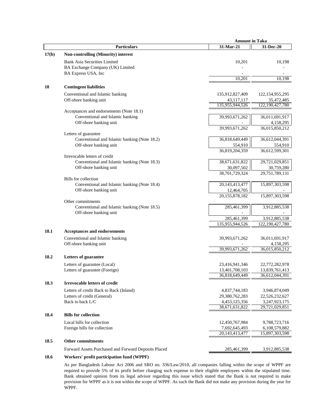|       | <b>Amount in Taka</b>                                                |                                  |                                  |
|-------|----------------------------------------------------------------------|----------------------------------|----------------------------------|
|       | <b>Particulars</b>                                                   | 31-Mar-21                        | 31-Dec-20                        |
| 17(b) | Non-controlling (Minority) interest                                  |                                  |                                  |
|       | <b>Bank Asia Securities Limited</b>                                  | 10,201                           | 10,198                           |
|       | BA Exchange Company (UK) Limited                                     |                                  |                                  |
|       | BA Express USA, Inc                                                  |                                  |                                  |
|       |                                                                      | 10,201                           | 10,198                           |
| 18    | <b>Contingent liabilities</b>                                        |                                  |                                  |
|       | Conventional and Islamic banking                                     | 135,912,827,409                  | 122, 154, 955, 295               |
|       | Off-shore banking unit                                               | 43,117,117                       | 35,472,485                       |
|       |                                                                      | 135,955,944,526                  | 122, 190, 427, 780               |
|       | Acceptances and endorsements (Note 18.1)                             |                                  |                                  |
|       | Conventional and Islamic banking                                     | 39,993,671,262                   | 36,011,691,917                   |
|       | Off-shore banking unit                                               |                                  | 4,158,295                        |
|       |                                                                      | 39,993,671,262                   | 36,015,850,212                   |
|       | Letters of guarantee<br>Conventional and Islamic banking (Note 18.2) |                                  | 36,612,044,391                   |
|       | Off-shore banking unit                                               | 36,818,649,449<br>554,910        | 554,910                          |
|       |                                                                      | 36,819,204,359                   | 36,612,599,301                   |
|       | Irrevocable letters of credit                                        |                                  |                                  |
|       | Conventional and Islamic banking (Note 18.3)                         | 38,671,631,822                   | 29,721,029,851                   |
|       | Off-shore banking unit                                               | 30,097,502                       | 30,759,280                       |
|       |                                                                      | 38,701,729,324                   | 29,751,789,131                   |
|       | Bills for collection                                                 |                                  |                                  |
|       | Conventional and Islamic banking (Note 18.4)                         | 20,143,413,477                   | 15,897,303,598                   |
|       | Off-shore banking unit                                               | 12,464,705                       |                                  |
|       | Other commitments                                                    | 20,155,878,182                   | 15,897,303,598                   |
|       | Conventional and Islamic banking (Note 18.5)                         | 285,461,399                      | 3,912,885,538                    |
|       | Off-shore banking unit                                               |                                  |                                  |
|       |                                                                      | 285,461,399                      | 3,912,885,538                    |
|       |                                                                      | 135,955,944,526                  | 122, 190, 427, 780               |
| 18.1  | <b>Acceptances and endorsements</b>                                  |                                  |                                  |
|       | Conventional and Islamic banking                                     | 39,993,671,262                   | 36,011,691,917                   |
|       | Off-shore banking unit                                               |                                  | 4,158,295                        |
|       |                                                                      | 39,993,671,262                   | 36,015,850,212                   |
| 18.2  | <b>Letters of guarantee</b>                                          |                                  |                                  |
|       |                                                                      |                                  |                                  |
|       | Letters of guarantee (Local)                                         | 23,416,941,346                   | 22,772,282,978                   |
|       | Letters of guarantee (Foreign)                                       | 13,401,708,103<br>36,818,649,449 | 13,839,761,413<br>36,612,044,391 |
|       |                                                                      |                                  |                                  |
| 18.3  | <b>Irrevocable letters of credit</b>                                 |                                  |                                  |
|       | Letters of credit Back to Back (Inland)                              | 4,837,744,183                    | 3,946,874,049                    |
|       | Letters of credit (General)                                          | 29,380,762,283                   | 22,526,232,627                   |
|       | Back to back L/C                                                     | 4,453,125,356<br>38,671,631,822  | 3,247,923,175<br>29,721,029,851  |
|       |                                                                      |                                  |                                  |
| 18.4  | <b>Bills for collection</b>                                          |                                  |                                  |
|       | Local bills for collection                                           | 12,450,767,984                   | 9,788,723,716                    |
|       | Foreign bills for collection                                         | 7,692,645,493                    | 6,108,579,882                    |
|       |                                                                      | 20,143,413,477                   | 15,897,303,598                   |
| 18.5  | <b>Other commitments</b>                                             |                                  |                                  |
|       | Forward Assets Purchased and Forward Deposits Placed                 | 285,461,399                      | 3,912,885,538                    |
| 1 Q K | Workers' profit portioination fund (WDDF)                            |                                  |                                  |

# **18.6 Workers' profit participation fund (WPPF)**

As per Bangladesh Labour Act 2006 and SRO no. 336/Law/2010, all companies falling within the scope of WPPF are required to provide 5% of its profit before charging such expense to their eligible employees within the stipulated time. Bank obtained opinion from its legal advisor regarding this issue which stated that the Bank is not required to make provision for WPPF as it is not within the scope of WPPF. As such the Bank did not make any provision during the year for WPPF.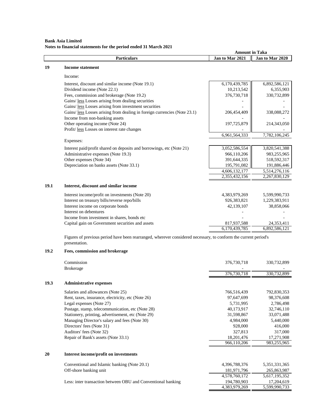#### **Bank Asia Limited Notes to financial statements for the period ended 31 March 2021**

|      |                                                                                                                                  | <b>Amount in Taka</b> |                 |
|------|----------------------------------------------------------------------------------------------------------------------------------|-----------------------|-----------------|
|      | <b>Particulars</b>                                                                                                               | Jan to Mar 2021       | Jan to Mar 2020 |
| 19   | <b>Income statement</b>                                                                                                          |                       |                 |
|      |                                                                                                                                  |                       |                 |
|      | Income:                                                                                                                          |                       |                 |
|      | Interest, discount and similar income (Note 19.1)                                                                                | 6,170,439,785         | 6,892,586,121   |
|      | Dividend income (Note 22.1)                                                                                                      | 10,213,542            | 6,355,903       |
|      | Fees, commission and brokerage (Note 19.2)                                                                                       | 376,730,718           | 330,732,899     |
|      | Gains/ less Losses arising from dealing securities                                                                               |                       |                 |
|      | Gains/ <i>less</i> Losses arising from investment securities                                                                     |                       |                 |
|      | Gains/ <u>less</u> Losses arising from dealing in foreign currencies (Note 23.1)                                                 | 206,454,409           | 338,088,272     |
|      | Income from non-banking assets                                                                                                   |                       |                 |
|      | Other operating income (Note 24)                                                                                                 | 197,725,879           | 214,343,050     |
|      | Profit/less Losses on interest rate changes                                                                                      |                       |                 |
|      |                                                                                                                                  | 6,961,564,333         | 7,782,106,245   |
|      | Expenses:                                                                                                                        |                       |                 |
|      | Interest paid/profit shared on deposits and borrowings, etc (Note 21)                                                            | 3,052,586,554         | 3,820,541,388   |
|      | Administrative expenses (Note 19.3)                                                                                              | 966,110,206           | 983,255,965     |
|      | Other expenses (Note 34)                                                                                                         | 391,644,335           | 518,592,317     |
|      | Depreciation on banks assets (Note 33.1)                                                                                         | 195,791,082           | 191,886,446     |
|      |                                                                                                                                  | 4,606,132,177         | 5,514,276,116   |
|      |                                                                                                                                  | 2,355,432,156         | 2,267,830,129   |
| 19.1 | Interest, discount and similar income                                                                                            |                       |                 |
|      |                                                                                                                                  |                       |                 |
|      | Interest income/profit on investments (Note 20)                                                                                  | 4,383,979,269         | 5,599,990,733   |
|      | Interest on treasury bills/reverse repo/bills                                                                                    | 926,383,821           | 1,229,383,911   |
|      | Interest income on corporate bonds                                                                                               | 42,139,107            | 38,858,066      |
|      | Interest on debentures                                                                                                           |                       |                 |
|      | Income from investment in shares, bonds etc                                                                                      |                       |                 |
|      | Capital gain on Government securities and assets                                                                                 | 817,937,588           | 24,353,411      |
|      |                                                                                                                                  | 6,170,439,785         | 6,892,586,121   |
|      | Figures of previous period have been rearranged, wherever considered necessary, to conform the current period's<br>presentation. |                       |                 |
| 19.2 | Fees, commission and brokerage                                                                                                   |                       |                 |
|      |                                                                                                                                  |                       |                 |

|      | Commission                                         | 376,730,718 | 330,732,899 |
|------|----------------------------------------------------|-------------|-------------|
|      | <b>Brokerage</b>                                   |             |             |
|      |                                                    | 376,730,718 | 330,732,899 |
| 19.3 | <b>Administrative expenses</b>                     |             |             |
|      | Salaries and allowances (Note 25)                  | 766,516,439 | 792,830,353 |
|      | Rent, taxes, insurance, electricity, etc (Note 26) | 97,647,699  | 98,376,608  |
|      | Legal expenses (Note 27)                           | 5,731,995   | 2,786,498   |
|      | Postage, stamp, telecommunication, etc (Note 28)   | 40,173,917  | 32,746,110  |
|      | Stationery, printing, advertisement, etc (Note 29) | 31,598,867  | 33,071,488  |
|      | Managing Director's salary and fees (Note 30)      | 4.984.000   | 5,440,000   |
|      | Directors' fees (Note 31)                          | 928,000     | 416,000     |
|      | Auditors' fees (Note 32)                           | 327,813     | 317,000     |
|      | Repair of Bank's assets (Note 33.1)                | 18,201,476  | 17,271,908  |
|      |                                                    | 966,110,206 | 983,255,965 |

| 4.396.788.376 | 5.351.331.365 |
|---------------|---------------|
| 181.971.796   | 265,863,987   |
| 4.578.760.172 | 5,617,195,352 |
| 194.780.903   | 17.204.619    |
| 4.383.979.269 | 5,599,990,733 |
|               |               |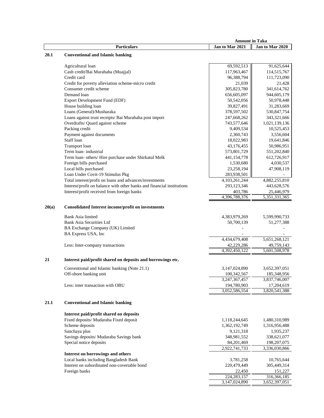|       |                                                                        | <b>Amount in Taka</b>          |                                |
|-------|------------------------------------------------------------------------|--------------------------------|--------------------------------|
|       | <b>Particulars</b>                                                     | Jan to Mar 2021                | Jan to Mar 2020                |
| 20.1  | <b>Conventional and Islamic banking</b>                                |                                |                                |
|       |                                                                        |                                |                                |
|       | Agricultural loan                                                      | 69,592,513                     | 91,625,644                     |
|       | Cash credit/Bai Murabaha (Muajjal)                                     | 117,963,467                    | 114,515,767                    |
|       | Credit card                                                            | 96,388,794                     | 111,723,090                    |
|       | Credit for poverty alleviation scheme-micro credit                     | 21,039                         | 21,428                         |
|       | Consumer credit scheme                                                 | 305,823,780                    | 341,614,762                    |
|       | Demand loan                                                            | 656,605,097                    | 944,605,179                    |
|       | Export Development Fund (EDF)                                          | 50,542,056                     | 50,978,448                     |
|       | House building loan                                                    | 39,827,491                     | 31,283,669                     |
|       | Loans (General)/Musharaka                                              | 378,597,502                    | 530, 847, 754                  |
|       | Loans against trust receipts/ Bai Murabaha post import                 | 247,668,262                    | 343,321,666                    |
|       | Overdrafts/ Quard against scheme                                       | 743,577,646                    | 1,021,139,136                  |
|       | Packing credit                                                         | 9,409,534                      | 10,525,453                     |
|       | Payment against documents                                              | 2,360,743                      | 3,556,604                      |
|       | Staff loan                                                             | 18,022,983                     | 19,641,846                     |
|       | Transport loan                                                         | 43,176,455                     | 50,986,951                     |
|       | Term loan-industrial                                                   | 573,801,729                    | 551,202,840                    |
|       | Term loan- others/ Hire purchase under Shirkatul Melk                  | 441,154,778                    | 612,726,917                    |
|       | Foreign bills purchased                                                | 1,530,680                      | 4,030,537                      |
|       | Local bills purchased                                                  | 23,258,194                     | 47,908,119                     |
|       | Loan Under Covit-19 Stimulus Pkg                                       | 283,938,501                    |                                |
|       | Total interest/profit on loans and advances/investments                | 4, 103, 261, 244               | 4,882,255,810                  |
|       | Interest/profit on balance with other banks and financial institutions | 293,123,346                    | 443,628,576                    |
|       | Interest/profit received from foreign banks                            | 403,786                        | 25,446,979                     |
|       |                                                                        | 4,396,788,376                  | 5,351,331,365                  |
|       |                                                                        |                                |                                |
| 20(a) | <b>Consolidated Interest income/profit on investments</b>              |                                |                                |
|       | <b>Bank Asia limited</b>                                               | 4,383,979,269                  | 5,599,990,733                  |
|       | <b>Bank Asia Securities Ltd</b>                                        | 50,700,139                     | 51,277,388                     |
|       | BA Exchange Company (UK) Limited                                       |                                |                                |
|       | BA Express USA, Inc                                                    |                                |                                |
|       |                                                                        | 4,434,679,408                  | 5,651,268,121                  |
|       | Less: Inter-company transactions                                       | 42,229,286                     | 49,759,143                     |
|       |                                                                        | 4,392,450,122                  | 5,601,508,978                  |
| 21    | Interest paid/profit shared on deposits and borrowings etc.            |                                |                                |
|       |                                                                        |                                |                                |
|       | Conventional and Islamic banking (Note 21.1)                           | 3,147,024,890                  | 3,652,397,051                  |
|       | Off-shore banking unit                                                 | 100,342,567                    | 185,348,956                    |
|       |                                                                        | 3,247,367,457                  | 3,837,746,007                  |
|       | Less: inter transaction with OBU                                       | 194,780,903                    | 17,204,619                     |
|       |                                                                        | 3,052,586,554                  | 3,820,541,388                  |
| 21.1  | <b>Conventional and Islamic banking</b>                                |                                |                                |
|       | Interest paid/profit shared on deposits                                |                                |                                |
|       | Fixed deposits/ Mudaraba Fixed deposit                                 |                                |                                |
|       | Scheme deposits                                                        | 1,118,244,645<br>1,362,192,749 | 1,480,310,989<br>1,316,956,488 |
|       | Sanchaya plus                                                          |                                |                                |
|       | Savings deposits/ Mudaraba Savings bank                                | 9,121,318                      | 1,935,237<br>338,621,077       |
|       | Special notice deposits                                                | 348,981,552                    | 198,207,075                    |
|       |                                                                        | 84,201,469                     |                                |
|       | Interest on borrowings and others                                      | 2,922,741,733                  | 3,336,030,866                  |
|       | Local banks including Bangladesh Bank                                  | 3,781,258                      | 10,765,644                     |
|       | Interest on subordinated non-covertable bond                           | 220,479,449                    | 305,449,314                    |
|       |                                                                        |                                | 151,227                        |
|       | Foreign banks                                                          | 22,450<br>224, 283, 157        | 316,366,185                    |
|       |                                                                        | 3,147,024,890                  | 3,652,397,051                  |
|       |                                                                        |                                |                                |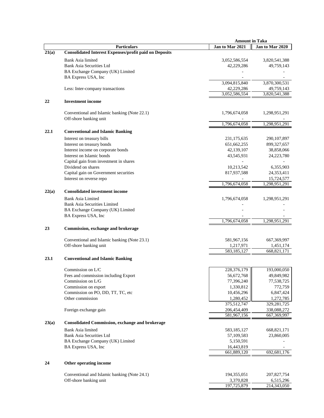|       |                                                               | <b>Amount in Taka</b>      |                             |
|-------|---------------------------------------------------------------|----------------------------|-----------------------------|
|       | <b>Particulars</b>                                            | Jan to Mar 2021            | Jan to Mar 2020             |
| 21(a) | <b>Consolidated Interest Expenses/profit paid on Deposits</b> |                            |                             |
|       | Bank Asia limited                                             | 3,052,586,554              | 3,820,541,388               |
|       | <b>Bank Asia Securities Ltd</b>                               | 42,229,286                 | 49,759,143                  |
|       | BA Exchange Company (UK) Limited                              |                            |                             |
|       | BA Express USA, Inc                                           |                            |                             |
|       |                                                               |                            |                             |
|       |                                                               | 3,094,815,840              | 3,870,300,531               |
|       | Less: Inter-company transactions                              | 42,229,286                 | 49,759,143                  |
|       |                                                               | 3,052,586,554              | 3,820,541,388               |
| 22    | <b>Investment</b> income                                      |                            |                             |
|       |                                                               |                            |                             |
|       | Conventional and Islamic banking (Note 22.1)                  | 1,796,674,058              | 1,298,951,291               |
|       | Off-shore banking unit                                        |                            |                             |
|       |                                                               | 1,796,674,058              | 1,298,951,291               |
| 22.1  | <b>Conventional and Islamic Banking</b>                       |                            |                             |
|       | Interest on treasury bills                                    | 231,175,635                | 290, 107, 897               |
|       | Interest on treasury bonds                                    | 651,662,255                | 899,327,657                 |
|       | Interest income on corporate bonds                            | 42,139,107                 | 38,858,066                  |
|       | Interest on Islamic bonds                                     | 43,545,931                 | 24,223,780                  |
|       | Capital gain from investment in shares                        |                            |                             |
|       | Dividend on shares                                            | 10,213,542                 | 6,355,903                   |
|       | Capital gain on Government securities                         |                            |                             |
|       |                                                               | 817,937,588                | 24,353,411                  |
|       | Interest on reverse repo                                      | 1,796,674,058              | 15,724,577<br>1,298,951,291 |
|       |                                                               |                            |                             |
| 22(a) | <b>Consolidated investment income</b>                         |                            |                             |
|       | <b>Bank Asia Limited</b>                                      | 1,796,674,058              | 1,298,951,291               |
|       | <b>Bank Asia Securities Limited</b>                           |                            |                             |
|       | BA Exchange Company (UK) Limited                              |                            |                             |
|       | BA Express USA, Inc                                           |                            |                             |
|       |                                                               | 1,796,674,058              | 1,298,951,291               |
| 23    | Commission, exchange and brokerage                            |                            |                             |
|       |                                                               |                            |                             |
|       | Conventional and Islamic banking (Note 23.1)                  | 581,967,156                | 667,369,997                 |
|       | Off-shore banking unit                                        | 1,217,971                  | 1,451,174                   |
|       |                                                               | 583,185,127                | 668,821,171                 |
|       |                                                               |                            |                             |
| 23.1  | <b>Conventional and Islamic Banking</b>                       |                            |                             |
|       | Commission on L/C                                             | 228,376,179                | 193,000,050                 |
|       |                                                               | 56,672,768                 |                             |
|       | Fees and commission including Export<br>Commission on L/G     | 77,396,240                 | 49,849,982                  |
|       |                                                               |                            | 77,538,725                  |
|       | Commission on export<br>Commission on PO, DD, TT, TC, etc     | 1,330,812                  | 772,759                     |
|       | Other commission                                              | 10,456,296<br>1,280,452    | 6,847,424                   |
|       |                                                               | 375,512,747                | 1,272,785                   |
|       |                                                               |                            | 329,281,725                 |
|       | Foreign exchange gain                                         | 206,454,409<br>581,967,156 | 338,088,272<br>667,369,997  |
|       |                                                               |                            |                             |
| 23(a) | <b>Consolidated Commission, exchange and brokerage</b>        |                            |                             |
|       | <b>Bank Asia limited</b>                                      | 583,185,127                | 668,821,171                 |
|       | <b>Bank Asia Securities Ltd</b>                               | 57,109,583                 | 23,860,005                  |
|       | BA Exchange Company (UK) Limited                              | 5,150,591                  |                             |
|       | BA Express USA, Inc.                                          | 16,443,819                 |                             |
|       |                                                               | 661,889,120                | 692,681,176                 |
|       |                                                               |                            |                             |
| 24    | Other operating income                                        |                            |                             |
|       |                                                               |                            |                             |
|       | Conventional and Islamic banking (Note 24.1)                  | 194,355,051                | 207,827,754                 |
|       | Off-shore banking unit                                        | 3,370,828                  | 6,515,296                   |
|       |                                                               | 197,725,879                | 214,343,050                 |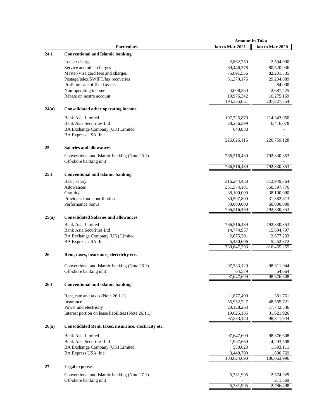|       |                                                       | <b>Amount in Taka</b>   |                         |
|-------|-------------------------------------------------------|-------------------------|-------------------------|
|       | <b>Particulars</b>                                    | Jan to Mar 2021         | Jan to Mar 2020         |
| 24.1  | <b>Conventional and Islamic banking</b>               |                         |                         |
|       |                                                       |                         |                         |
|       | Locker charge<br>Service and other charges            | 2,862,250<br>69,446,378 | 2,594,900<br>80,520,036 |
|       | Master/Visa card fees and charges                     | 75,691,556              | 82,231,335              |
|       | Postage/telex/SWIFT/fax recoveries                    | 31,370,175              | 29,234,889              |
|       | Profit on sale of fixed assets                        |                         | 284,000                 |
|       | Non-operating income                                  | 4,008,350               | 2,687,425               |
|       | Rebate on nostro account                              | 10,976,342              | 10,275,169              |
|       |                                                       | 194,355,051             | 207,827,754             |
|       |                                                       |                         |                         |
| 24(a) | <b>Consolidated other operating income</b>            |                         |                         |
|       | Bank Asia Limited                                     | 197,725,879             | 214,343,050             |
|       | Bank Asia Securities Ltd                              | 28,256,399              | 6,416,078               |
|       | BA Exchange Company (UK) Limited                      | 643,838                 |                         |
|       | BA Express USA, Inc                                   |                         |                         |
|       |                                                       | 226,626,116             | 220,759,128             |
| 25    | <b>Salaries and allowances</b>                        |                         |                         |
|       |                                                       |                         |                         |
|       | Conventional and Islamic banking (Note 25.1)          | 766,516,439             | 792,830,353             |
|       | Off-shore banking unit                                |                         |                         |
|       |                                                       | 766,516,439             | 792,830,353             |
| 25.1  | <b>Conventional and Islamic banking</b>               |                         |                         |
|       | Basic salary                                          | 316,244,458             | 312,949,764             |
|       | Allowances                                            | 351,574,181             | 350, 397, 776           |
|       | Gratuity                                              | 38,100,000              | 38,100,000              |
|       | Provident fund contribution                           | 30,597,800              | 31,382,813              |
|       | Performance bonus                                     | 30,000,000              | 60,000,000              |
|       |                                                       | 766,516,439             | 792,830,353             |
|       |                                                       |                         |                         |
| 25(a) | <b>Consolidated Salaries and allowances</b>           |                         |                         |
|       | <b>Bank Asia Limited</b>                              | 766,516,439             | 792,830,353             |
|       | <b>Bank Asia Securities Ltd</b>                       | 14,774,957              | 15,694,797              |
|       | BA Exchange Company (UK) Limited                      | 2,875,201               | 2,677,233               |
|       | BA Express USA, Inc                                   | 5,480,696               | 5,252,872               |
|       |                                                       | 789,647,293             | 816, 455, 255           |
| 26    | Rent, taxes, insurance, electricity etc.              |                         |                         |
|       |                                                       |                         |                         |
|       | Conventional and Islamic banking (Note 26.1)          | 97,583,120              | 98,311,944              |
|       | Off-shore banking unit                                | 64,579                  | 64,664                  |
|       |                                                       | 97,647,699              | 98,376,608              |
| 26.1  | <b>Conventional and Islamic banking</b>               |                         |                         |
|       |                                                       |                         |                         |
|       | Rent, rate and taxes (Note 26.1.1)                    | 1,877,490               | 381,761                 |
|       | Insurance                                             | 55,952,227              | 48,565,721              |
|       | Power and electricity                                 | 20,128,268              | 17,742,536              |
|       | Interest portion on lease liabilities (Note 26.1.1)   | 19,625,135              | 31,621,926              |
|       |                                                       | 97,583,120              | 98,311,944              |
| 26(a) | Consolidated Rent, taxes, insurance, electricity etc. |                         |                         |
|       |                                                       |                         |                         |
|       | <b>Bank Asia Limited</b>                              | 97,647,699              | 98,376,608              |
|       | <b>Bank Asia Securities Ltd</b>                       | 1,997,659               | 4,293,508               |
|       | BA Exchange Company (UK) Limited                      | 530,623                 | 1,593,111               |
|       | BA Express USA, Inc                                   | 3,448,709               | 1,800,769               |
|       |                                                       | 103,624,690             | 106,063,996             |
| 27    | <b>Legal expenses</b>                                 |                         |                         |
|       |                                                       |                         |                         |
|       | Conventional and Islamic banking (Note 27.1)          | 5,731,995               | 2,574,929               |
|       | Off-shore banking unit                                | 5,731,995               | 211,569<br>2,786,498    |
|       |                                                       |                         |                         |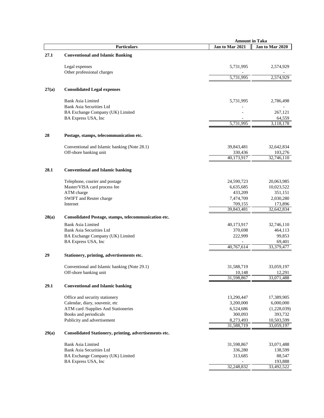|       |                                                         | <b>Amount in Taka</b> |                  |
|-------|---------------------------------------------------------|-----------------------|------------------|
|       | <b>Particulars</b>                                      | Jan to Mar 2021       | Jan to Mar 2020  |
| 27.1  | <b>Conventional and Islamic Banking</b>                 |                       |                  |
|       |                                                         |                       |                  |
|       | Legal expenses                                          | 5,731,995             | 2,574,929        |
|       | Other professional charges                              | 5,731,995             | 2,574,929        |
|       |                                                         |                       |                  |
| 27(a) | <b>Consolidated Legal expenses</b>                      |                       |                  |
|       | Bank Asia Limited                                       | 5,731,995             | 2,786,498        |
|       | <b>Bank Asia Securities Ltd</b>                         |                       |                  |
|       | BA Exchange Company (UK) Limited                        |                       | 267,121          |
|       | BA Express USA, Inc                                     |                       | 64,559           |
|       |                                                         | 5,731,995             | 3,118,178        |
| 28    | Postage, stamps, telecommunication etc.                 |                       |                  |
|       | Conventional and Islamic banking (Note 28.1)            | 39,843,481            | 32,642,834       |
|       | Off-shore banking unit                                  | 330,436               | 103,276          |
|       |                                                         | 40,173,917            | 32,746,110       |
| 28.1  | <b>Conventional and Islamic banking</b>                 |                       |                  |
|       |                                                         |                       |                  |
|       | Telephone, courier and postage                          | 24,590,723            | 20,063,985       |
|       | Master/VISA card process fee                            | 6,635,685             | 10,023,522       |
|       | ATM charge                                              | 433,209               | 351,151          |
|       | SWIFT and Reuter charge                                 | 7,474,709             | 2,030,280        |
|       | Internet                                                | 709,155<br>39,843,481 | 173,896          |
|       |                                                         |                       | 32,642,834       |
| 28(a) | Consolidated Postage, stamps, telecommunication etc.    |                       |                  |
|       | <b>Bank Asia Limited</b>                                | 40,173,917            | 32,746,110       |
|       | <b>Bank Asia Securities Ltd</b>                         | 370,698               | 464,113          |
|       | BA Exchange Company (UK) Limited<br>BA Express USA, Inc | 222,999               | 99,853<br>69,401 |
|       |                                                         | 40,767,614            | 33,379,477       |
| 29    |                                                         |                       |                  |
|       | Stationery, printing, advertisements etc.               |                       |                  |
|       | Conventional and Islamic banking (Note 29.1)            | 31,588,719            | 33,059,197       |
|       | Off-shore banking unit                                  | 10.148                | 12.291           |
|       |                                                         | 31,598,867            | 33,071,488       |
| 29.1  | <b>Conventional and Islamic banking</b>                 |                       |                  |
|       | Office and security stationery                          | 13,290,447            | 17,389,905       |
|       | Calendar, diary, souvenir, etc                          | 3,200,000             | 6,000,000        |
|       | ATM card /Supplies And Stationeries                     | 6,524,686             | (1,228,039)      |
|       | Books and periodicals                                   | 300,093               | 393,732          |
|       | Publicity and advertisement                             | 8,273,493             | 10,503,599       |
|       |                                                         | 31,588,719            | 33,059,197       |
| 29(a) | Consolidated Stationery, printing, advertisements etc.  |                       |                  |
|       | <b>Bank Asia Limited</b>                                | 31,598,867            | 33,071,488       |
|       | <b>Bank Asia Securities Ltd</b>                         | 336,280               | 138,599          |
|       | BA Exchange Company (UK) Limited                        | 313,685               | 88,547           |
|       | BA Express USA, Inc                                     |                       | 193,888          |
|       |                                                         | 32,248,832            | 33,492,522       |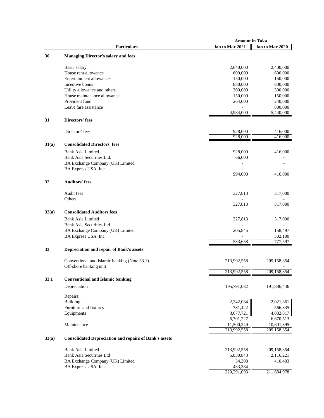|       |                                                               | <b>Amount in Taka</b> |                 |
|-------|---------------------------------------------------------------|-----------------------|-----------------|
|       | <b>Particulars</b>                                            | Jan to Mar 2021       | Jan to Mar 2020 |
| 30    | <b>Managing Director's salary and fees</b>                    |                       |                 |
|       |                                                               |                       |                 |
|       | Basic salary                                                  | 2,640,000             | 2,400,000       |
|       | House rent allowance                                          | 600,000               | 600,000         |
|       | Entertainment allowances                                      | 150,000               | 150,000         |
|       |                                                               |                       |                 |
|       | Incentive bonus                                               | 880,000               | 800,000         |
|       | Utility allowance and others                                  | 300,000               | 300,000         |
|       | House maintenance allowance                                   | 150,000               | 150,000         |
|       | Provident fund                                                | 264,000               | 240,000         |
|       | Leave fare assistance                                         |                       | 800,000         |
|       |                                                               | 4,984,000             | 5,440,000       |
|       |                                                               |                       |                 |
| 31    | <b>Directors' fees</b>                                        |                       |                 |
|       | Directors' fees                                               | 928,000               | 416,000         |
|       |                                                               | 928,000               | 416,000         |
|       |                                                               |                       |                 |
| 31(a) | <b>Consolidated Directors' fees</b>                           |                       |                 |
|       | <b>Bank Asia Limited</b>                                      | 928,000               | 416,000         |
|       | Bank Asia Securities Ltd.                                     | 66,000                |                 |
|       | BA Exchange Company (UK) Limited                              |                       |                 |
|       | BA Express USA, Inc                                           |                       |                 |
|       |                                                               | 994,000               | 416,000         |
|       |                                                               |                       |                 |
| 32    | <b>Auditors' fees</b>                                         |                       |                 |
|       |                                                               |                       |                 |
|       | Audit fees                                                    | 327,813               | 317,000         |
|       | Others                                                        |                       |                 |
|       |                                                               | 327,813               | 317,000         |
|       |                                                               |                       |                 |
| 32(a) | <b>Consolidated Auditors fees</b>                             |                       |                 |
|       | Bank Asia Limited                                             | 327,813               | 317,000         |
|       | <b>Bank Asia Securities Ltd</b>                               |                       |                 |
|       | BA Exchange Company (UK) Limited                              | 205,845               | 158,497         |
|       | BA Express USA, Inc                                           |                       | 302,100         |
|       |                                                               | 533,658               | 777,597         |
|       |                                                               |                       |                 |
| 33    | Depreciation and repair of Bank's assets                      |                       |                 |
|       |                                                               |                       |                 |
|       | Conventional and Islamic banking (Note 33.1)                  | 213,992,558           | 209,158,354     |
|       | Off-shore banking unit                                        |                       |                 |
|       |                                                               | 213,992,558           | 209,158,354     |
| 33.1  | <b>Conventional and Islamic banking</b>                       |                       |                 |
|       |                                                               |                       |                 |
|       | Depreciation                                                  | 195,791,082           | 191,886,446     |
|       | Repairs:                                                      |                       |                 |
|       | <b>Building</b>                                               |                       |                 |
|       |                                                               | 2,242,084             | 2,021,361       |
|       | Furniture and fixtures                                        | 781,422               | 566,335         |
|       | Equipments                                                    | 3,677,721             | 4,082,817       |
|       |                                                               | 6,701,227             | 6,670,513       |
|       | Maintenance                                                   | 11,500,249            | 10,601,395      |
|       |                                                               | 213,992,558           | 209,158,354     |
| 33(a) | <b>Consolidated Depreciation and repairs of Bank's assets</b> |                       |                 |
|       |                                                               |                       |                 |
|       | <b>Bank Asia Limited</b>                                      | 213,992,558           | 209,158,354     |
|       | Bank Asia Securities Ltd                                      | 5,830,843             | 2,116,221       |
|       | BA Exchange Company (UK) Limited                              | 34,308                | 410,403         |
|       | BA Express USA, Inc                                           | 433,384               |                 |
|       |                                                               | 220, 291, 093         | 211,684,978     |
|       |                                                               |                       |                 |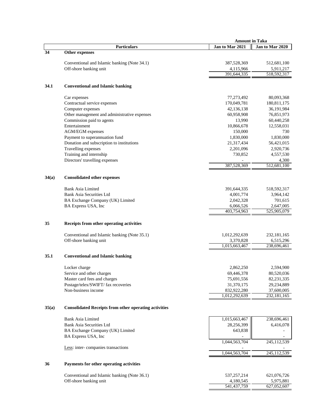|       |                                                              | <b>Amount in Taka</b> |                 |
|-------|--------------------------------------------------------------|-----------------------|-----------------|
|       | <b>Particulars</b>                                           | Jan to Mar 2021       | Jan to Mar 2020 |
| 34    | Other expenses                                               |                       |                 |
|       |                                                              |                       |                 |
|       | Conventional and Islamic banking (Note 34.1)                 | 387,528,369           | 512,681,100     |
|       | Off-shore banking unit                                       | 4,115,966             | 5,911,217       |
|       |                                                              | 391,644,335           | 518,592,317     |
| 34.1  | <b>Conventional and Islamic banking</b>                      |                       |                 |
|       |                                                              |                       |                 |
|       | Car expenses                                                 | 77,273,492            | 80,093,368      |
|       | Contractual service expenses                                 | 170,049,781           | 180,811,175     |
|       | Computer expenses                                            | 42,136,138            | 36,191,984      |
|       | Other management and administrative expenses                 | 60,958,908            | 76,851,973      |
|       | Commission paid to agents                                    | 13,990                | 60,440,258      |
|       | Entertainment                                                | 10,866,678            | 12,558,031      |
|       | AGM/EGM expenses                                             | 150,000               | 730             |
|       | Payment to superannuation fund                               | 1,830,000             | 1,830,000       |
|       | Donation and subscription to institutions                    | 21,317,434            | 56,421,015      |
|       | Travelling expenses                                          | 2,201,096             | 2,920,736       |
|       | Training and internship                                      | 730,852               | 4,557,530       |
|       | Directors' travelling expenses                               |                       | 4,300           |
|       |                                                              | 387,528,369           | 512,681,100     |
| 34(a) | <b>Consolidated other expenses</b>                           |                       |                 |
|       | <b>Bank Asia Limited</b>                                     | 391,644,335           | 518,592,317     |
|       | <b>Bank Asia Securities Ltd</b>                              | 4,001,774             | 3,964,142       |
|       | BA Exchange Company (UK) Limited                             | 2,042,328             | 701,615         |
|       | BA Express USA, Inc                                          | 6,066,526             | 2,647,005       |
|       |                                                              | 403,754,963           | 525,905,079     |
| 35    | Receipts from other operating activities                     |                       |                 |
|       |                                                              |                       |                 |
|       | Conventional and Islamic banking (Note 35.1)                 | 1,012,292,639         | 232,181,165     |
|       | Off-shore banking unit                                       | 3,370,828             | 6,515,296       |
|       |                                                              | 1,015,663,467         | 238,696,461     |
| 35.1  | <b>Conventional and Islamic banking</b>                      |                       |                 |
|       | Locker charge                                                | 2,862,250             | 2,594,900       |
|       | Service and other charges                                    | 69,446,378            | 80,520,036      |
|       | Master card fees and charges                                 | 75,691,556            | 82,231,335      |
|       | Postage/telex/SWIFT/ fax recoveries                          | 31,370,175            | 29,234,889      |
|       | Non-business income                                          | 832,922,280           | 37,600,005      |
|       |                                                              | 1,012,292,639         | 232,181,165     |
| 35(a) | <b>Consolidated Receipts from other operating activities</b> |                       |                 |
|       |                                                              |                       |                 |
|       | <b>Bank Asia Limited</b>                                     | 1,015,663,467         | 238,696,461     |
|       | Bank Asia Securities Ltd                                     | 28,256,399            | 6,416,078       |
|       | BA Exchange Company (UK) Limited                             | 643,838               |                 |
|       | BA Express USA, Inc                                          |                       |                 |
|       | Less: inter-companies transactions                           | 1,044,563,704         | 245, 112, 539   |
|       |                                                              | 1,044,563,704         | 245,112,539     |
| 36    | Payments for other operating activities                      |                       |                 |
|       |                                                              |                       |                 |
|       | Conventional and Islamic banking (Note 36.1)                 | 537,257,214           | 621,076,726     |
|       | Off-shore banking unit                                       | 4,180,545             | 5,975,881       |
|       |                                                              | 541,437,759           | 627,052,607     |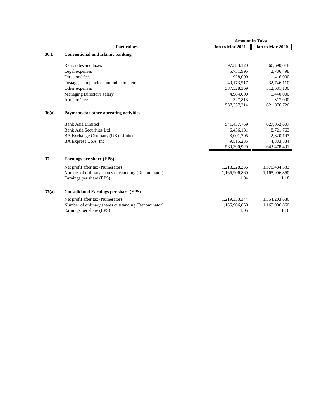|       |                                                     | <b>Amount in Taka</b> |                 |
|-------|-----------------------------------------------------|-----------------------|-----------------|
|       | <b>Particulars</b>                                  | Jan to Mar 2021       | Jan to Mar 2020 |
| 36.1  | <b>Conventional and Islamic banking</b>             |                       |                 |
|       | Rent, rates and taxes                               | 97,583,120            | 66,690,018      |
|       | Legal expenses                                      | 5.731.995             | 2,786,498       |
|       | Directors' fees                                     | 928,000               | 416,000         |
|       | Postage, stamp, telecommunication, etc.             | 40,173,917            | 32,746,110      |
|       | Other expenses                                      | 387,528,369           | 512,681,100     |
|       | Managing Director's salary                          | 4.984.000             | 5,440,000       |
|       | Auditors' fee                                       | 327,813               | 317,000         |
|       |                                                     | 537,257,214           | 621,076,726     |
| 36(a) | Payments for other operating activities             |                       |                 |
|       | Bank Asia Limited                                   | 541,437,759           | 627,052,607     |
|       | <b>Bank Asia Securities Ltd</b>                     | 6,436,131             | 8,721,763       |
|       | BA Exchange Company (UK) Limited                    | 3,001,795             | 2,820,197       |
|       | BA Express USA, Inc.                                | 9,515,235             | 4,883,834       |
|       |                                                     | 560,390,920           | 643,478,401     |
| 37    | Earnings per share (EPS)                            |                       |                 |
|       | Net profit after tax (Numerator)                    | 1,218,228,236         | 1,370,484,333   |
|       | Number of ordinary shares outstanding (Denominator) | 1,165,906,860         | 1,165,906,860   |
|       | Earnings per share (EPS)                            | 1.04                  | 1.18            |
| 37(a) | <b>Consolidated Earnings per share (EPS)</b>        |                       |                 |
|       | Net profit after tax (Numerator)                    | 1,219,333,344         | 1,354,203,686   |
|       | Number of ordinary shares outstanding (Denominator) | 1,165,906,860         | 1,165,906,860   |
|       | Earnings per share (EPS)                            | 1.05                  | 1.16            |